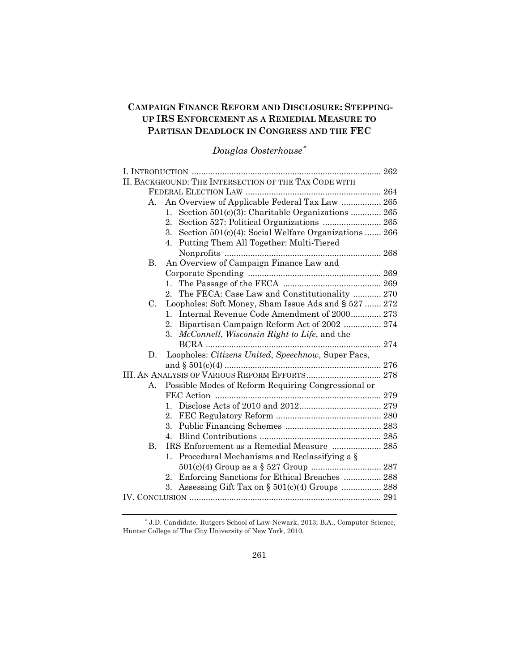# **CAMPAIGN FINANCE REFORM AND DISCLOSURE: STEPPING-UP IRS ENFORCEMENT AS A REMEDIAL MEASURE TO PARTISAN DEADLOCK IN CONGRESS AND THE FEC**

# *Douglas Oosterhouse*<sup>∗</sup>

|                      | II. BACKGROUND: THE INTERSECTION OF THE TAX CODE WITH |
|----------------------|-------------------------------------------------------|
|                      |                                                       |
| A.                   | An Overview of Applicable Federal Tax Law  265        |
| 1.                   | Section 501(c)(3): Charitable Organizations  265      |
| 2.                   |                                                       |
| 3.                   | Section 501(c)(4): Social Welfare Organizations  266  |
| 4.                   | Putting Them All Together: Multi-Tiered               |
|                      |                                                       |
| В.                   | An Overview of Campaign Finance Law and               |
|                      |                                                       |
| $1_{\cdot}$          |                                                       |
| $2_{-}$              | The FECA: Case Law and Constitutionality  270         |
| C.                   | Loopholes: Soft Money, Sham Issue Ads and § 527  272  |
| $1_{-}$              | Internal Revenue Code Amendment of 2000 273           |
| 2.                   | Bipartisan Campaign Reform Act of 2002  274           |
| 3.                   | McConnell, Wisconsin Right to Life, and the           |
|                      |                                                       |
| D.                   | Loopholes: Citizens United, Speechnow, Super Pacs,    |
|                      |                                                       |
|                      |                                                       |
| А.                   | Possible Modes of Reform Requiring Congressional or   |
|                      |                                                       |
|                      |                                                       |
| $2_{\cdot}$          |                                                       |
| 3.                   |                                                       |
| 4.                   |                                                       |
| $\mathbf{B}$ .       | IRS Enforcement as a Remedial Measure  285            |
| $\mathbf{1}_{\cdot}$ | Procedural Mechanisms and Reclassifying a §           |
|                      |                                                       |
| 2.                   | Enforcing Sanctions for Ethical Breaches  288         |
| 3.                   |                                                       |
|                      |                                                       |

<span id="page-0-0"></span><sup>∗</sup> J.D. Candidate, Rutgers School of Law-Newark, 2013; B.A., Computer Science, Hunter College of The City University of New York, 2010.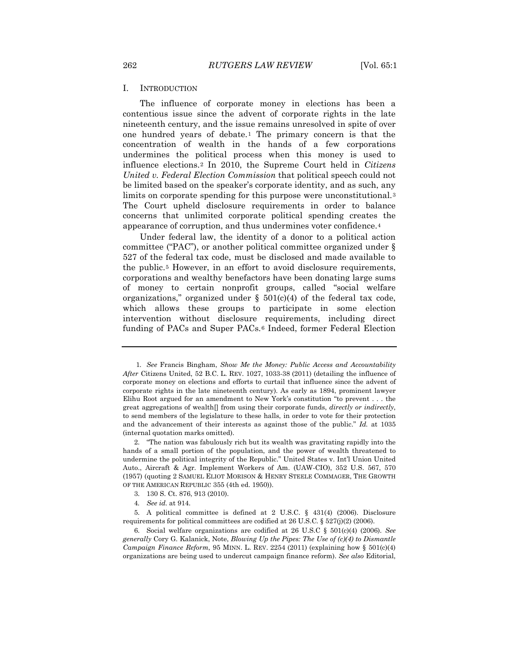### I. INTRODUCTION

The influence of corporate money in elections has been a contentious issue since the advent of corporate rights in the late nineteenth century, and the issue remains unresolved in spite of over one hundred years of debate.[1](#page-0-0) The primary concern is that the concentration of wealth in the hands of a few corporations undermines the political process when this money is used to influence elections.[2](#page-1-0) In 2010, the Supreme Court held in *Citizens United v. Federal Election Commission* that political speech could not be limited based on the speaker's corporate identity, and as such, any limits on corporate spending for this purpose were unconstitutional.[3](#page-1-1) The Court upheld disclosure requirements in order to balance concerns that unlimited corporate political spending creates the appearance of corruption, and thus undermines voter confidence.[4](#page-1-2)

Under federal law, the identity of a donor to a political action committee ("PAC"), or another political committee organized under § 527 of the federal tax code, must be disclosed and made available to the public.[5](#page-1-3) However, in an effort to avoid disclosure requirements, corporations and wealthy benefactors have been donating large sums of money to certain nonprofit groups, called "social welfare organizations," organized under  $\S$  501(c)(4) of the federal tax code, which allows these groups to participate in some election intervention without disclosure requirements, including direct funding of PACs and Super PACs.[6](#page-1-4) Indeed, former Federal Election

<span id="page-1-5"></span>1*. See* Francis Bingham, *Show Me the Money: Public Access and Accountability After* Citizens United, 52 B.C. L. REV. 1027, 1033-38 (2011) (detailing the influence of corporate money on elections and efforts to curtail that influence since the advent of corporate rights in the late nineteenth century). As early as 1894, prominent lawyer Elihu Root argued for an amendment to New York's constitution "to prevent . . . the great aggregations of wealth[] from using their corporate funds, *directly or indirectly*, to send members of the legislature to these halls, in order to vote for their protection and the advancement of their interests as against those of the public." *Id.* at 1035 (internal quotation marks omitted).

<span id="page-1-0"></span><sup>2.</sup> "The nation was fabulously rich but its wealth was gravitating rapidly into the hands of a small portion of the population, and the power of wealth threatened to undermine the political integrity of the Republic." United States v. Int'l Union United Auto., Aircraft & Agr. Implement Workers of Am. (UAW-CIO), 352 U.S. 567, 570 (1957) (quoting 2 SAMUEL ELIOT MORISON & HENRY STEELE COMMAGER, THE GROWTH OF THE AMERICAN REPUBLIC 355 (4th ed. 1950)).

<sup>3.</sup> 130 S. Ct. 876, 913 (2010).

<sup>4</sup>*. See id.* at 914.

<span id="page-1-3"></span><span id="page-1-2"></span><span id="page-1-1"></span><sup>5.</sup> A political committee is defined at 2 U.S.C. § 431(4) (2006). Disclosure requirements for political committees are codified at 26 U.S.C. § 527(j)(2) (2006).

<span id="page-1-4"></span><sup>6.</sup> Social welfare organizations are codified at 26 U.S.C § 501(c)(4) (2006). *See generally* Cory G. Kalanick, Note, *Blowing Up the Pipes: The Use of (c)(4) to Dismantle Campaign Finance Reform*, 95 MINN. L. REV. 2254 (2011) (explaining how  $\S 501(c)(4)$ organizations are being used to undercut campaign finance reform). *See also* Editorial,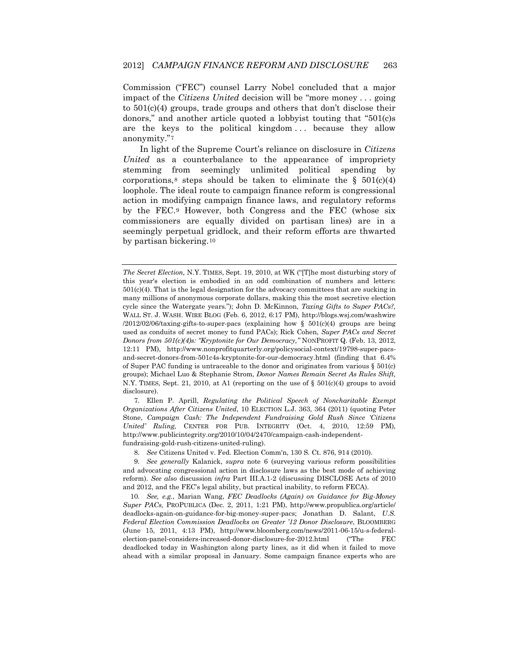Commission ("FEC") counsel Larry Nobel concluded that a major impact of the *Citizens United* decision will be "more money . . . going to 501(c)(4) groups, trade groups and others that don't disclose their donors," and another article quoted a lobbyist touting that "501(c)s are the keys to the political kingdom ... because they allow anonymity."[7](#page-1-5)

In light of the Supreme Court's reliance on disclosure in *Citizens United* as a counterbalance to the appearance of impropriety stemming from seemingly unlimited political spending by corporations,<sup>[8](#page-2-0)</sup> steps should be taken to eliminate the  $\S$  501(c)(4) loophole. The ideal route to campaign finance reform is congressional action in modifying campaign finance laws, and regulatory reforms by the FEC.[9](#page-2-1) However, both Congress and the FEC (whose six commissioners are equally divided on partisan lines) are in a seemingly perpetual gridlock, and their reform efforts are thwarted by partisan bickering.[10](#page-2-2)

7. Ellen P. Aprill, *Regulating the Political Speech of Noncharitable Exempt Organizations After Citizens United*, 10 ELECTION L.J. 363, 364 (2011) (quoting Peter Stone, *Campaign Cash: The Independent Fundraising Gold Rush Since 'Citizens United' Ruling,* CENTER FOR PUB. INTEGRITY (Oct. 4, 2010, 12:59 PM), http://www.publicintegrity.org/2010/10/04/2470/campaign-cash-independentfundraising-gold-rush-citizens-united-ruling).

8*. See* Citizens United v. Fed. Election Comm'n, 130 S. Ct. 876, 914 (2010).

*The Secret Election,* N.Y. TIMES, Sept. 19, 2010, at WK ("[T]he most disturbing story of this year's election is embodied in an odd combination of numbers and letters:  $501(c)(4)$ . That is the legal designation for the advocacy committees that are sucking in many millions of anonymous corporate dollars, making this the most secretive election cycle since the Watergate years."); John D. McKinnon, *Taxing Gifts to Super PACs?,*  WALL ST. J. WASH. WIRE BLOG (Feb. 6, 2012, 6:17 PM), http://blogs.wsj.com/washwire  $/2012/02/06$ /taxing-gifts-to-super-pacs (explaining how § 501(c)(4) groups are being used as conduits of secret money to fund PACs); Rick Cohen, *Super PACs and Secret Donors from 501(c)(4)s: "Kryptonite for Our Democracy,"* NONPROFIT Q. (Feb. 13, 2012, 12:11 PM), http://www.nonprofitquarterly.org/policysocial-context/19798-super-pacsand-secret-donors-from-501c4s-kryptonite-for-our-democracy.html (finding that 6.4% of Super PAC funding is untraceable to the donor and originates from various  $\S 501(c)$ groups); Michael Luo & Stephanie Strom, *Donor Names Remain Secret As Rules Shift,*  N.Y. TIMES, Sept. 21, 2010, at A1 (reporting on the use of  $\S$  501(c)(4) groups to avoid disclosure).

<span id="page-2-1"></span><span id="page-2-0"></span><sup>9</sup>*. See generally* Kalanick, *supra* note 6 (surveying various reform possibilities and advocating congressional action in disclosure laws as the best mode of achieving reform). *See also* discussion *infra* Part III.A.1-2 (discussing DISCLOSE Acts of 2010 and 2012, and the FEC's legal ability, but practical inability, to reform FECA).

<span id="page-2-3"></span><span id="page-2-2"></span><sup>10</sup>*. See, e.g.*, Marian Wang, *FEC Deadlocks (Again) on Guidance for Big-Money Super PACs,* PROPUBLICA (Dec. 2, 2011, 1:21 PM), http://www.propublica.org/article/ deadlocks-again-on-guidance-for-big-money-super-pacs; Jonathan D. Salant, *U.S. Federal Election Commission Deadlocks on Greater '12 Donor Disclosure*, BLOOMBERG (June 15, 2011, 4:13 PM), http://www.bloomberg.com/news/2011-06-15/u-s-federalelection-panel-considers-increased-donor-disclosure-for-2012.html ("The FEC deadlocked today in Washington along party lines, as it did when it failed to move ahead with a similar proposal in January. Some campaign finance experts who are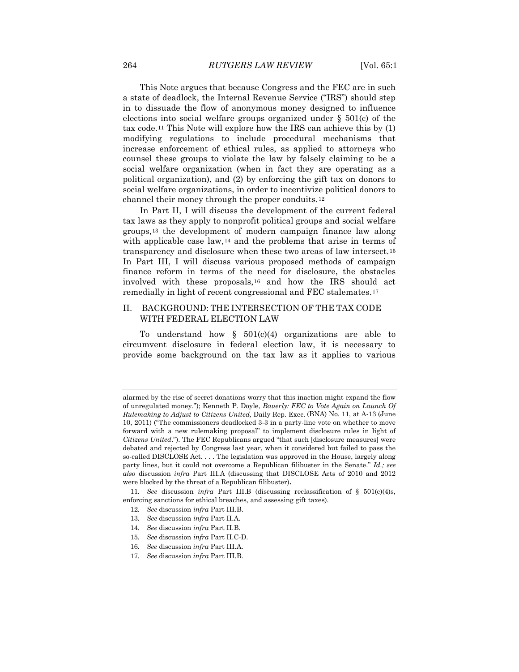This Note argues that because Congress and the FEC are in such a state of deadlock, the Internal Revenue Service ("IRS") should step in to dissuade the flow of anonymous money designed to influence elections into social welfare groups organized under  $\S$  501(c) of the tax code.[11](#page-2-3) This Note will explore how the IRS can achieve this by (1) modifying regulations to include procedural mechanisms that increase enforcement of ethical rules, as applied to attorneys who counsel these groups to violate the law by falsely claiming to be a social welfare organization (when in fact they are operating as a political organization), and (2) by enforcing the gift tax on donors to social welfare organizations, in order to incentivize political donors to channel their money through the proper conduits.[12](#page-3-0)

In Part II, I will discuss the development of the current federal tax laws as they apply to nonprofit political groups and social welfare groups,[13](#page-3-1) the development of modern campaign finance law along with applicable case law,<sup>[14](#page-3-2)</sup> and the problems that arise in terms of transparency and disclosure when these two areas of law intersect.[15](#page-3-3) In Part III, I will discuss various proposed methods of campaign finance reform in terms of the need for disclosure, the obstacles involved with these proposals,[16](#page-3-4) and how the IRS should act remedially in light of recent congressional and FEC stalemates.[17](#page-3-5)

### II. BACKGROUND: THE INTERSECTION OF THE TAX CODE WITH FEDERAL ELECTION LAW

<span id="page-3-6"></span>To understand how  $\S$  501(c)(4) organizations are able to circumvent disclosure in federal election law, it is necessary to provide some background on the tax law as it applies to various

alarmed by the rise of secret donations worry that this inaction might expand the flow of unregulated money."); Kenneth P. Doyle, *Bauerly: FEC to Vote Again on Launch Of Rulemaking to Adjust to Citizens United,* Daily Rep. Exec. (BNA) No. 11, at A-13 (June 10, 2011) ("The commissioners deadlocked 3-3 in a party-line vote on whether to move forward with a new rulemaking proposal" to implement disclosure rules in light of *Citizens United*."). The FEC Republicans argued "that such [disclosure measures] were debated and rejected by Congress last year, when it considered but failed to pass the so-called DISCLOSE Act. . . . The legislation was approved in the House, largely along party lines, but it could not overcome a Republican filibuster in the Senate." *Id.; see also* discussion *infra* Part III.A (discussing that DISCLOSE Acts of 2010 and 2012 were blocked by the threat of a Republican filibuster)**.**

<span id="page-3-2"></span><span id="page-3-1"></span><span id="page-3-0"></span><sup>11</sup>*. See* discussion *infra* Part III.B (discussing reclassification of § 501(c)(4)s, enforcing sanctions for ethical breaches, and assessing gift taxes).

<sup>12</sup>*. See* discussion *infra* Part III.B.

<sup>13</sup>*. See* discussion *infra* Part II.A.

<sup>14</sup>*. See* discussion *infra* Part II.B.

<span id="page-3-3"></span><sup>15</sup>*. See* discussion *infra* Part II.C-D.

<sup>16</sup>*. See* discussion *infra* Part III.A.

<span id="page-3-5"></span><span id="page-3-4"></span><sup>17</sup>*. See* discussion *infra* Part III.B.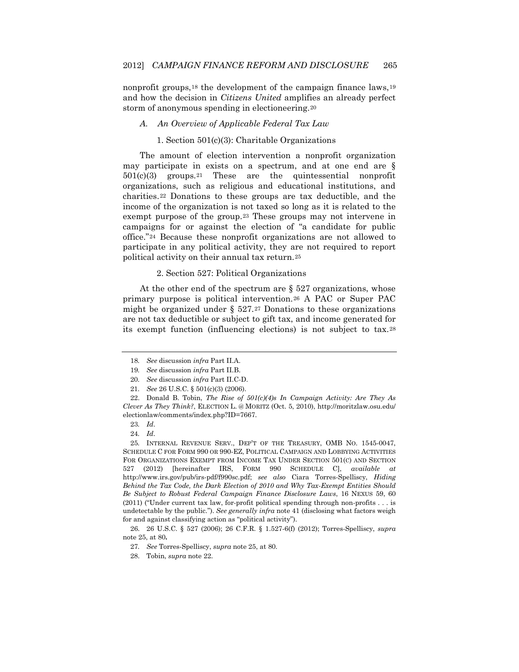nonprofit groups,<sup>[18](#page-3-6)</sup> the development of the campaign finance laws,<sup>[19](#page-4-0)</sup> and how the decision in *Citizens United* amplifies an already perfect storm of anonymous spending in electioneering.[20](#page-4-1)

### *A. An Overview of Applicable Federal Tax Law*

### 1. Section 501(c)(3): Charitable Organizations

The amount of election intervention a nonprofit organization may participate in exists on a spectrum, and at one end are §  $501(c)(3)$  groups.<sup>[21](#page-4-2)</sup> These are the quintessential nonprofit organizations, such as religious and educational institutions, and charities.[22](#page-4-3) Donations to these groups are tax deductible, and the income of the organization is not taxed so long as it is related to the exempt purpose of the group.[23](#page-4-4) These groups may not intervene in campaigns for or against the election of "a candidate for public office."[24](#page-4-5) Because these nonprofit organizations are not allowed to participate in any political activity, they are not required to report political activity on their annual tax return.[25](#page-4-6)

### 2. Section 527: Political Organizations

At the other end of the spectrum are § 527 organizations, whose primary purpose is political intervention.[26](#page-4-7) A PAC or Super PAC might be organized under § 527.[27](#page-4-8) Donations to these organizations are not tax deductible or subject to gift tax, and income generated for its exempt function (influencing elections) is not subject to tax.[28](#page-4-9)

<span id="page-4-9"></span><span id="page-4-8"></span><span id="page-4-7"></span>26. 26 U.S.C. § 527 (2006); 26 C.F.R. § 1.527-6(f) (2012); Torres-Spelliscy, *supra* note 25, at 80**.**

<sup>18</sup>*. See* discussion *infra* Part II.A.

<sup>19</sup>*. See* discussion *infra* Part II.B.

<sup>20</sup>*. See* discussion *infra* Part II.C-D.

<sup>21</sup>*. See* 26 U.S.C. § 501(c)(3) (2006).

<span id="page-4-3"></span><span id="page-4-2"></span><span id="page-4-1"></span><span id="page-4-0"></span><sup>22.</sup> Donald B. Tobin, *The Rise of 501(c)(4)s In Campaign Activity: Are They As Clever As They Think?*, ELECTION L. @ MORITZ (Oct. 5, 2010), http://moritzlaw.osu.edu/ electionlaw/comments/index.php?ID=7667.

<sup>23</sup>*. Id*.

<sup>24</sup>*. Id*.

<span id="page-4-6"></span><span id="page-4-5"></span><span id="page-4-4"></span><sup>25</sup>*.* INTERNAL REVENUE SERV., DEP'T OF THE TREASURY, OMB NO. 1545-0047, SCHEDULE C FOR FORM 990 OR 990-EZ, POLITICAL CAMPAIGN AND LOBBYING ACTIVITIES FOR ORGANIZATIONS EXEMPT FROM INCOME TAX UNDER SECTION 501(C) AND SECTION 527 (2012) [hereinafter IRS, FORM 990 SCHEDULE C], *available at* http://www.irs.gov/pub/irs-pdf/f990sc.pdf; *see also* Ciara Torres-Spelliscy, *Hiding Behind the Tax Code, the Dark Election of 2010 and Why Tax-Exempt Entities Should Be Subject to Robust Federal Campaign Finance Disclosure Laws*, 16 NEXUS 59, 60 (2011) ("Under current tax law, for-profit political spending through non-profits . . . is undetectable by the public."). *See generally infra* note 41 (disclosing what factors weigh for and against classifying action as "political activity").

<sup>27</sup>*. See* Torres-Spelliscy, *supra* note 25, at 80.

<sup>28.</sup> Tobin, *supra* note 22.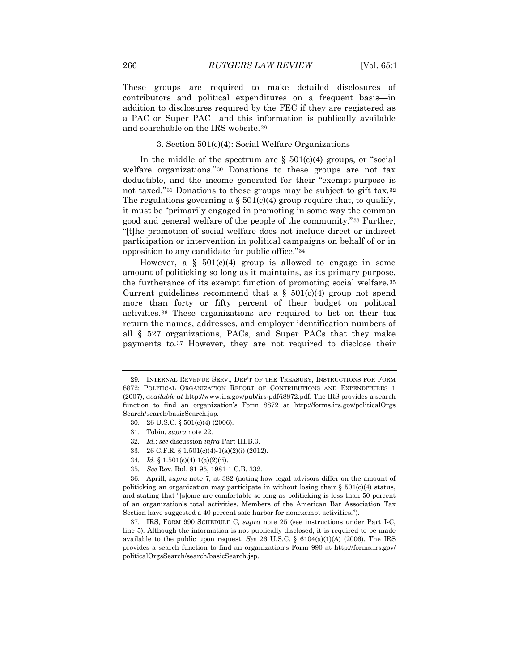These groups are required to make detailed disclosures of contributors and political expenditures on a frequent basis—in addition to disclosures required by the FEC if they are registered as a PAC or Super PAC—and this information is publically available and searchable on the IRS website.[29](#page-4-1)

### 3. Section 501(c)(4): Social Welfare Organizations

In the middle of the spectrum are  $\S$  501(c)(4) groups, or "social welfare organizations."[30](#page-5-0) Donations to these groups are not tax deductible, and the income generated for their "exempt-purpose is not taxed."[31](#page-5-1) Donations to these groups may be subject to gift tax.[32](#page-5-2) The regulations governing a  $\S 501(c)(4)$  group require that, to qualify, it must be "primarily engaged in promoting in some way the common good and general welfare of the people of the community."[33](#page-5-3) Further, "[t]he promotion of social welfare does not include direct or indirect participation or intervention in political campaigns on behalf of or in opposition to any candidate for public office."[34](#page-5-4)

<span id="page-5-8"></span>However, a  $\S$  501(c)(4) group is allowed to engage in some amount of politicking so long as it maintains, as its primary purpose, the furtherance of its exempt function of promoting social welfare.[35](#page-5-5)  Current guidelines recommend that a  $\S$  501(c)(4) group not spend more than forty or fifty percent of their budget on political activities.[36](#page-5-6) These organizations are required to list on their tax return the names, addresses, and employer identification numbers of all § 527 organizations, PACs, and Super PACs that they make payments to.[37](#page-5-7) However, they are not required to disclose their

- 30. 26 U.S.C. § 501(c)(4) (2006).
- <span id="page-5-1"></span>31. Tobin, *supra* note 22.
- 32*. Id.*; *see* discussion *infra* Part III.B.3.
- 33. 26 C.F.R. § 1.501(c)(4)-1(a)(2)(i) (2012).
- 34*. Id.* § 1.501(c)(4)-1(a)(2)(ii).
- 35*. See* Rev. Rul. 81-95, 1981-1 C.B. 332.

<span id="page-5-0"></span><sup>29</sup>*.* INTERNAL REVENUE SERV., DEP'T OF THE TREASURY, INSTRUCTIONS FOR FORM 8872: POLITICAL ORGANIZATION REPORT OF CONTRIBUTIONS AND EXPENDITURES 1 (2007), *available at* http://www.irs.gov/pub/irs-pdf/i8872.pdf. The IRS provides a search function to find an organization's Form 8872 at http://forms.irs.gov/politicalOrgs Search/search/basicSearch.jsp.

<span id="page-5-6"></span><span id="page-5-5"></span><span id="page-5-4"></span><span id="page-5-3"></span><span id="page-5-2"></span><sup>36.</sup> Aprill, *supra* note 7, at 382 (noting how legal advisors differ on the amount of politicking an organization may participate in without losing their  $\S 501(c)(4)$  status, and stating that "[s]ome are comfortable so long as politicking is less than 50 percent of an organization's total activities. Members of the American Bar Association Tax Section have suggested a 40 percent safe harbor for nonexempt activities.").

<span id="page-5-7"></span><sup>37.</sup> IRS, FORM 990 SCHEDULE C*, supra* note 25 (see instructions under Part I-C, line 5). Although the information is not publically disclosed, it is required to be made available to the public upon request. *See* 26 U.S.C. § 6104(a)(1)(A) (2006). The IRS provides a search function to find an organization's Form 990 at http://forms.irs.gov/ politicalOrgsSearch/search/basicSearch.jsp.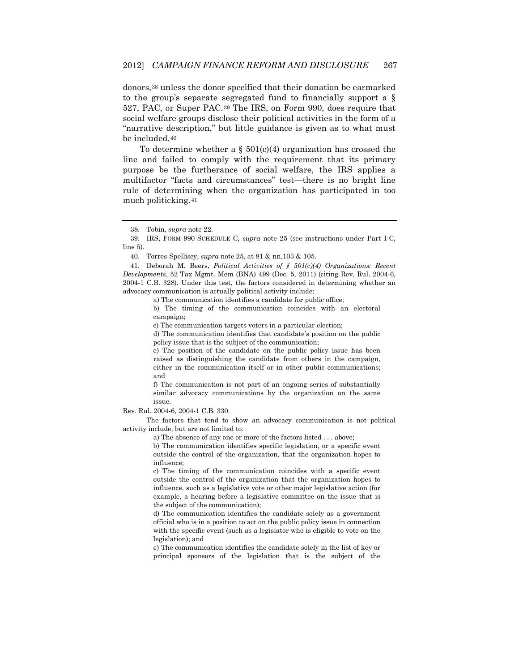donors,[38](#page-5-8) unless the donor specified that their donation be earmarked to the group's separate segregated fund to financially support a § 527, PAC, or Super PAC.[39](#page-6-0) The IRS, on Form 990, does require that social welfare groups disclose their political activities in the form of a "narrative description," but little guidance is given as to what must be included.[40](#page-6-1)

To determine whether a  $\S$  501(c)(4) organization has crossed the line and failed to comply with the requirement that its primary purpose be the furtherance of social welfare, the IRS applies a multifactor "facts and circumstances" test—there is no bright line rule of determining when the organization has participated in too much politicking.[41](#page-6-2)

<span id="page-6-2"></span><span id="page-6-1"></span>41. Deborah M. Beers, *Political Activities of § 501(c)(4) Organizations: Recent Developments*, 52 Tax Mgmt. Mem (BNA) 499 (Dec. 5, 2011) (citing Rev. Rul. 2004-6, 2004-1 C.B. 328). Under this test, the factors considered in determining whether an advocacy communication is actually political activity include:

a) The communication identifies a candidate for public office;

b) The timing of the communication coincides with an electoral campaign;

c) The communication targets voters in a particular election;

d) The communication identifies that candidate's position on the public policy issue that is the subject of the communication;

e) The position of the candidate on the public policy issue has been raised as distinguishing the candidate from others in the campaign, either in the communication itself or in other public communications; and

f) The communication is not part of an ongoing series of substantially similar advocacy communications by the organization on the same issue.

Rev. Rul. 2004-6, 2004-1 C.B. 330.

<span id="page-6-3"></span>The factors that tend to show an advocacy communication is not political activity include, but are not limited to:

a) The absence of any one or more of the factors listed . . . above;

b) The communication identifies specific legislation, or a specific event outside the control of the organization, that the organization hopes to influence;

c) The timing of the communication coincides with a specific event outside the control of the organization that the organization hopes to influence, such as a legislative vote or other major legislative action (for example, a hearing before a legislative committee on the issue that is the subject of the communication);

d) The communication identifies the candidate solely as a government official who is in a position to act on the public policy issue in connection with the specific event (such as a legislator who is eligible to vote on the legislation); and

e) The communication identifies the candidate solely in the list of key or principal sponsors of the legislation that is the subject of the

<sup>38.</sup> Tobin, *supra* note 22.

<span id="page-6-0"></span><sup>39.</sup> IRS, FORM 990 SCHEDULE C*, supra* note 25 (see instructions under Part I-C, line 5).

<sup>40.</sup> Torres-Spelliscy, *supra* note 25, at 81 & nn.103 & 105.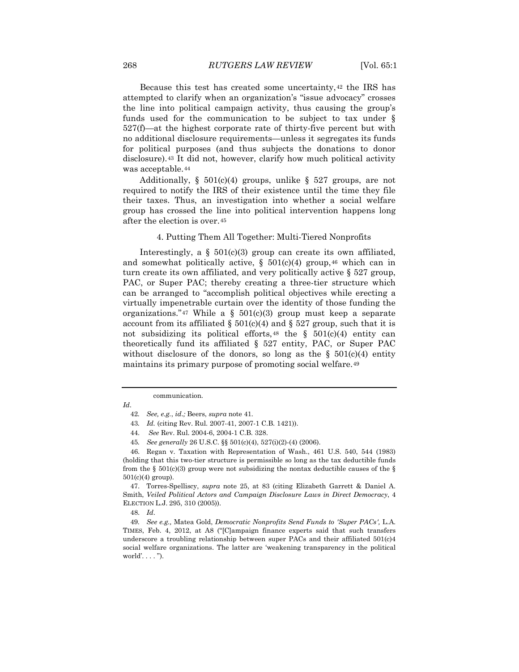Because this test has created some uncertainty,[42](#page-6-3) the IRS has attempted to clarify when an organization's "issue advocacy" crosses the line into political campaign activity, thus causing the group's funds used for the communication to be subject to tax under § 527(f)—at the highest corporate rate of thirty-five percent but with no additional disclosure requirements—unless it segregates its funds for political purposes (and thus subjects the donations to donor disclosure).[43](#page-7-0) It did not, however, clarify how much political activity was acceptable.[44](#page-7-1)

Additionally, §  $501(c)(4)$  groups, unlike § 527 groups, are not required to notify the IRS of their existence until the time they file their taxes. Thus, an investigation into whether a social welfare group has crossed the line into political intervention happens long after the election is over.[45](#page-7-2)

### 4. Putting Them All Together: Multi-Tiered Nonprofits

Interestingly, a  $\S$  501(c)(3) group can create its own affiliated, and somewhat politically active,  $\S$  501(c)(4) group,<sup>[46](#page-7-3)</sup> which can in turn create its own affiliated, and very politically active § 527 group, PAC, or Super PAC; thereby creating a three-tier structure which can be arranged to "accomplish political objectives while erecting a virtually impenetrable curtain over the identity of those funding the organizations."<sup>[47](#page-7-4)</sup> While a §  $501(c)(3)$  group must keep a separate account from its affiliated  $\S$  501(c)(4) and  $\S$  527 group, such that it is not subsidizing its political efforts,  $48$  the §  $501(c)(4)$  entity can theoretically fund its affiliated § 527 entity, PAC, or Super PAC without disclosure of the donors, so long as the  $\S$  501(c)(4) entity maintains its primary purpose of promoting social welfare.[49](#page-7-6)

<span id="page-7-4"></span>47. Torres-Spelliscy, *supra* note 25, at 83 (citing Elizabeth Garrett & Daniel A. Smith, *Veiled Political Actors and Campaign Disclosure Laws in Direct Democracy*, 4 ELECTION L.J. 295, 310 (2005)).

48. *Id*.

<span id="page-7-6"></span><span id="page-7-5"></span>49*. See e.g.,* Matea Gold, *Democratic Nonprofits Send Funds to 'Super PACs',* L.A. TIMES, Feb. 4, 2012, at A8 ("[C]ampaign finance experts said that such transfers underscore a troubling relationship between super PACs and their affiliated  $501(c)4$ social welfare organizations. The latter are 'weakening transparency in the political world'. . . . ").

communication.

<span id="page-7-7"></span><span id="page-7-0"></span>*Id*.

<sup>42</sup>*. See, e.g.*, *id*.*;* Beers, *supra* note 41*.*

<sup>43</sup>*. Id.* (citing Rev. Rul. 2007-41, 2007-1 C.B. 1421)).

<sup>44.</sup> *See* Rev. Rul. 2004-6, 2004-1 C.B. 328.

<sup>45</sup>*. See generally* 26 U.S.C. §§ 501(c)(4), 527(i)(2)-(4) (2006).

<span id="page-7-3"></span><span id="page-7-2"></span><span id="page-7-1"></span><sup>46.</sup> Regan v. Taxation with Representation of Wash., 461 U.S. 540, 544 (1983) (holding that this two-tier structure is permissible so long as the tax deductible funds from the § 501(c)(3) group were not subsidizing the nontax deductible causes of the § 501(c)(4) group).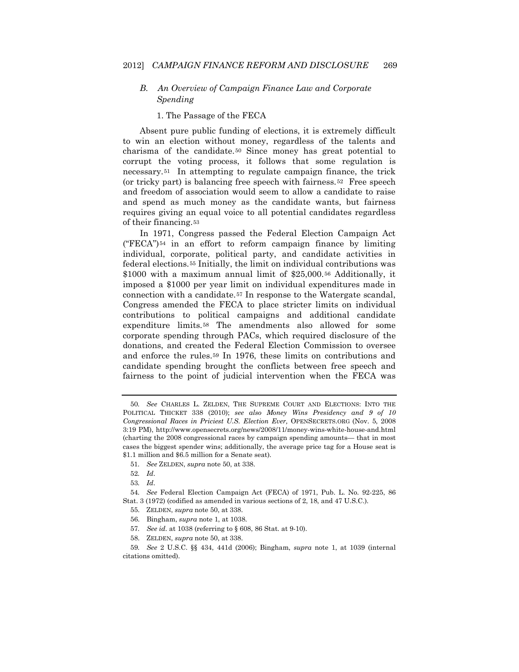# *B. An Overview of Campaign Finance Law and Corporate Spending*

### 1. The Passage of the FECA

Absent pure public funding of elections, it is extremely difficult to win an election without money, regardless of the talents and charisma of the candidate.[50](#page-7-7) Since money has great potential to corrupt the voting process, it follows that some regulation is necessary.[51](#page-8-0) In attempting to regulate campaign finance, the trick (or tricky part) is balancing free speech with fairness.[52](#page-8-1) Free speech and freedom of association would seem to allow a candidate to raise and spend as much money as the candidate wants, but fairness requires giving an equal voice to all potential candidates regardless of their financing.[53](#page-8-2)

In 1971, Congress passed the Federal Election Campaign Act  $("FECA")<sup>54</sup>$  $("FECA")<sup>54</sup>$  $("FECA")<sup>54</sup>$  in an effort to reform campaign finance by limiting individual, corporate, political party, and candidate activities in federal elections.[55](#page-8-4) Initially, the limit on individual contributions was \$1000 with a maximum annual limit of \$25,000.[56](#page-8-5) Additionally, it imposed a \$1000 per year limit on individual expenditures made in connection with a candidate.[57](#page-8-6) In response to the Watergate scandal, Congress amended the FECA to place stricter limits on individual contributions to political campaigns and additional candidate expenditure limits.[58](#page-8-7) The amendments also allowed for some corporate spending through PACs, which required disclosure of the donations, and created the Federal Election Commission to oversee and enforce the rules.[59](#page-8-8) In 1976, these limits on contributions and candidate spending brought the conflicts between free speech and fairness to the point of judicial intervention when the FECA was

57*. See id.* at 1038 (referring to § 608, 86 Stat. at 9-10).

<span id="page-8-9"></span><sup>50</sup>*. See* CHARLES L. ZELDEN, THE SUPREME COURT AND ELECTIONS: INTO THE POLITICAL THICKET 338 (2010); *see also Money Wins Presidency and 9 of 10 Congressional Races in Priciest U.S. Election Ever,* OPENSECRETS.ORG (Nov. 5, 2008 3:19 PM), http://www.opensecrets.org/news/2008/11/money-wins-white-house-and.html (charting the 2008 congressional races by campaign spending amounts— that in most cases the biggest spender wins; additionally, the average price tag for a House seat is \$1.1 million and \$6.5 million for a Senate seat).

<sup>51</sup>*. See* ZELDEN, *supra* note 50, at 338.

<sup>52</sup>*. Id*.

<sup>53</sup>*. Id*.

<span id="page-8-4"></span><span id="page-8-3"></span><span id="page-8-2"></span><span id="page-8-1"></span><span id="page-8-0"></span><sup>54</sup>*. See* Federal Election Campaign Act (FECA) of 1971, Pub. L. No. 92-225, 86 Stat. 3 (1972) (codified as amended in various sections of 2, 18, and 47 U.S.C.).

<sup>55.</sup> ZELDEN, *supra* note 50, at 338.

<sup>56.</sup> Bingham, *supra* note 1, at 1038.

<sup>58.</sup> ZELDEN, *supra* note 50, at 338.

<span id="page-8-8"></span><span id="page-8-7"></span><span id="page-8-6"></span><span id="page-8-5"></span><sup>59</sup>*. See* 2 U.S.C. §§ 434, 441d (2006); Bingham, *supra* note 1, at 1039 (internal citations omitted).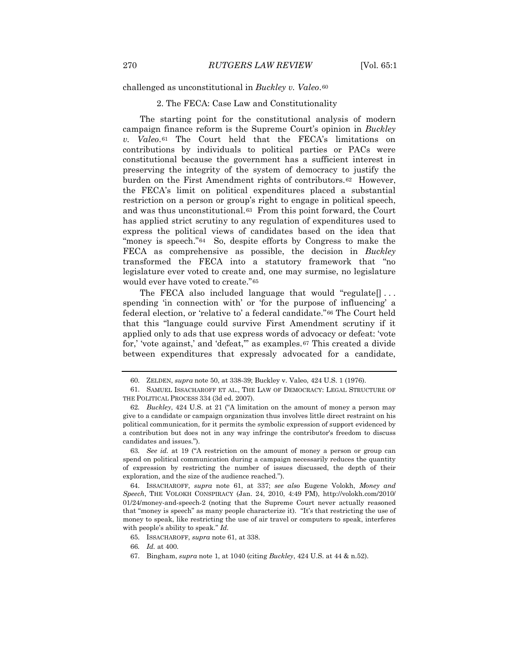challenged as unconstitutional in *Buckley v. Valeo*.[60](#page-8-9)

### 2. The FECA: Case Law and Constitutionality

The starting point for the constitutional analysis of modern campaign finance reform is the Supreme Court's opinion in *Buckley v. Valeo*.[61](#page-9-0) The Court held that the FECA's limitations on contributions by individuals to political parties or PACs were constitutional because the government has a sufficient interest in preserving the integrity of the system of democracy to justify the burden on the First Amendment rights of contributors.[62](#page-9-1) However, the FECA's limit on political expenditures placed a substantial restriction on a person or group's right to engage in political speech, and was thus unconstitutional.[63](#page-9-2) From this point forward, the Court has applied strict scrutiny to any regulation of expenditures used to express the political views of candidates based on the idea that "money is speech."[64](#page-9-3) So, despite efforts by Congress to make the FECA as comprehensive as possible, the decision in *Buckley* transformed the FECA into a statutory framework that "no legislature ever voted to create and, one may surmise, no legislature would ever have voted to create."[65](#page-9-4)

The FECA also included language that would "regulate[] . . . spending 'in connection with' or 'for the purpose of influencing' a federal election, or 'relative to' a federal candidate."[66](#page-9-5) The Court held that this "language could survive First Amendment scrutiny if it applied only to ads that use express words of advocacy or defeat: 'vote for,' 'vote against,' and 'defeat,'" as examples.[67](#page-9-6) This created a divide between expenditures that expressly advocated for a candidate,

<sup>60.</sup> ZELDEN, *supra* note 50, at 338-39; Buckley v. Valeo, 424 U.S. 1 (1976).

<span id="page-9-0"></span><sup>61.</sup> SAMUEL ISSACHAROFF ET AL., THE LAW OF DEMOCRACY: LEGAL STRUCTURE OF THE POLITICAL PROCESS 334 (3d ed. 2007).

<span id="page-9-1"></span><sup>62</sup>*. Buckley*, 424 U.S. at 21 ("A limitation on the amount of money a person may give to a candidate or campaign organization thus involves little direct restraint on his political communication, for it permits the symbolic expression of support evidenced by a contribution but does not in any way infringe the contributor's freedom to discuss candidates and issues.").

<span id="page-9-7"></span><span id="page-9-2"></span><sup>63</sup>*. See id.* at 19 ("A restriction on the amount of money a person or group can spend on political communication during a campaign necessarily reduces the quantity of expression by restricting the number of issues discussed, the depth of their exploration, and the size of the audience reached.").

<span id="page-9-3"></span><sup>64.</sup> ISSACHAROFF, *supra* note 61, at 337; *see also* Eugene Volokh, *Money and Speech*, THE VOLOKH CONSPIRACY (Jan. 24, 2010, 4:49 PM), http://volokh.com/2010/ 01/24/money-and-speech-2 (noting that the Supreme Court never actually reasoned that "money is speech" as many people characterize it). "It's that restricting the use of money to speak, like restricting the use of air travel or computers to speak, interferes with people's ability to speak." *Id.*

<span id="page-9-4"></span><sup>65.</sup> ISSACHAROFF, *supra* note 61, at 338.

<span id="page-9-5"></span><sup>66</sup>*. Id.* at 400.

<span id="page-9-6"></span><sup>67.</sup> Bingham, *supra* note 1, at 1040 (citing *Buckley*, 424 U.S. at 44 & n.52).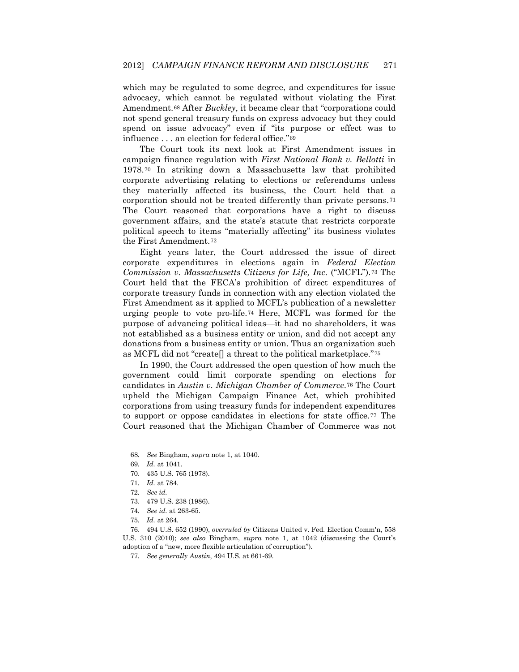which may be regulated to some degree, and expenditures for issue advocacy, which cannot be regulated without violating the First Amendment.[68](#page-9-7) After *Buckley*, it became clear that "corporations could not spend general treasury funds on express advocacy but they could spend on issue advocacy" even if "its purpose or effect was to influence . . . an election for federal office."[69](#page-10-0) 

The Court took its next look at First Amendment issues in campaign finance regulation with *First National Bank v. Bellotti* in 1978.[70](#page-10-1) In striking down a Massachusetts law that prohibited corporate advertising relating to elections or referendums unless they materially affected its business, the Court held that a corporation should not be treated differently than private persons.[71](#page-10-2) The Court reasoned that corporations have a right to discuss government affairs, and the state's statute that restricts corporate political speech to items "materially affecting" its business violates the First Amendment.[72](#page-10-3)

Eight years later, the Court addressed the issue of direct corporate expenditures in elections again in *Federal Election Commission v. Massachusetts Citizens for Life, Inc.* ("MCFL").[73](#page-10-4) The Court held that the FECA's prohibition of direct expenditures of corporate treasury funds in connection with any election violated the First Amendment as it applied to MCFL's publication of a newsletter urging people to vote pro-life.[74](#page-10-5) Here, MCFL was formed for the purpose of advancing political ideas—it had no shareholders, it was not established as a business entity or union, and did not accept any donations from a business entity or union. Thus an organization such as MCFL did not "create[] a threat to the political marketplace."[75](#page-10-6)

In 1990, the Court addressed the open question of how much the government could limit corporate spending on elections for candidates in *Austin v. Michigan Chamber of Commerce*.[76](#page-10-7) The Court upheld the Michigan Campaign Finance Act, which prohibited corporations from using treasury funds for independent expenditures to support or oppose candidates in elections for state office.[77](#page-10-8) The Court reasoned that the Michigan Chamber of Commerce was not

<span id="page-10-9"></span><span id="page-10-0"></span><sup>68</sup>*. See* Bingham, *supra* note 1, at 1040.

<sup>69</sup>*. Id.* at 1041.

<span id="page-10-1"></span><sup>70.</sup> 435 U.S. 765 (1978).

<sup>71</sup>*. Id.* at 784.

<sup>72</sup>*. See id.*

<sup>73.</sup> 479 U.S. 238 (1986).

<sup>74</sup>*. See id.* at 263-65.

<sup>75</sup>*. Id.* at 264.

<span id="page-10-8"></span><span id="page-10-7"></span><span id="page-10-6"></span><span id="page-10-5"></span><span id="page-10-4"></span><span id="page-10-3"></span><span id="page-10-2"></span><sup>76.</sup> 494 U.S. 652 (1990), *overruled by* Citizens United v. Fed. Election Comm'n, 558 U.S. 310 (2010); *see also* Bingham, *supra* note 1, at 1042 (discussing the Court's adoption of a "new, more flexible articulation of corruption").

<sup>77</sup>*. See generally Austin*, 494 U.S. at 661-69.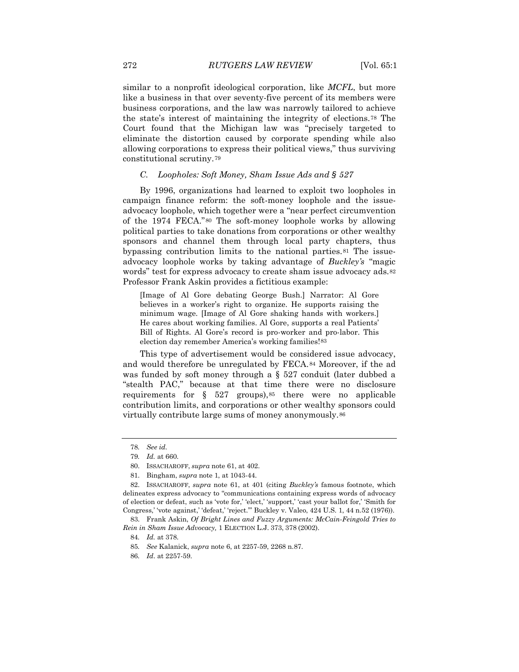similar to a nonprofit ideological corporation, like *MCFL*, but more like a business in that over seventy-five percent of its members were business corporations, and the law was narrowly tailored to achieve the state's interest of maintaining the integrity of elections.[78](#page-10-9) The Court found that the Michigan law was "precisely targeted to eliminate the distortion caused by corporate spending while also allowing corporations to express their political views," thus surviving constitutional scrutiny.[79](#page-11-0)

### *C. Loopholes: Soft Money, Sham Issue Ads and § 527*

By 1996, organizations had learned to exploit two loopholes in campaign finance reform: the soft-money loophole and the issueadvocacy loophole, which together were a "near perfect circumvention of the 1974 FECA."[80](#page-11-1) The soft-money loophole works by allowing political parties to take donations from corporations or other wealthy sponsors and channel them through local party chapters, thus bypassing contribution limits to the national parties.[81](#page-11-2) The issueadvocacy loophole works by taking advantage of *Buckley's* "magic words" test for express advocacy to create sham issue advocacy ads.<sup>[82](#page-11-3)</sup> Professor Frank Askin provides a fictitious example:

[Image of Al Gore debating George Bush.] Narrator: Al Gore believes in a worker's right to organize. He supports raising the minimum wage. [Image of Al Gore shaking hands with workers.] He cares about working families. Al Gore, supports a real Patients' Bill of Rights. Al Gore's record is pro-worker and pro-labor. This election day remember America's working families![83](#page-11-4)

This type of advertisement would be considered issue advocacy, and would therefore be unregulated by FECA.[84](#page-11-5) Moreover, if the ad was funded by soft money through a § 527 conduit (later dubbed a "stealth PAC," because at that time there were no disclosure requirements for  $\S$  527 groups),<sup>[85](#page-11-6)</sup> there were no applicable contribution limits, and corporations or other wealthy sponsors could virtually contribute large sums of money anonymously.[86](#page-11-7)

<span id="page-11-8"></span><sup>78</sup>*. See id.*

<sup>79</sup>*. Id.* at 660.

<sup>80.</sup> ISSACHAROFF, *supra* note 61, at 402.

<sup>81.</sup> Bingham, *supra* note 1, at 1043-44.

<span id="page-11-3"></span><span id="page-11-2"></span><span id="page-11-1"></span><span id="page-11-0"></span><sup>82.</sup> ISSACHAROFF, *supra* note 61, at 401 (citing *Buckley's* famous footnote, which delineates express advocacy to "communications containing express words of advocacy of election or defeat, such as 'vote for,' 'elect,' 'support,' 'cast your ballot for,' 'Smith for Congress,' 'vote against,' 'defeat,' 'reject.'" Buckley v. Valeo, 424 U.S. 1, 44 n.52 (1976)).

<span id="page-11-7"></span><span id="page-11-6"></span><span id="page-11-5"></span><span id="page-11-4"></span><sup>83.</sup> Frank Askin, *Of Bright Lines and Fuzzy Arguments: McCain-Feingold Tries to Rein in Sham Issue Advocacy,* 1 ELECTION L.J. 373, 378 (2002).

<sup>84</sup>*. Id.* at 378.

<sup>85</sup>*. See* Kalanick, *supra* note 6, at 2257-59, 2268 n.87.

<sup>86</sup>*. Id*. at 2257-59.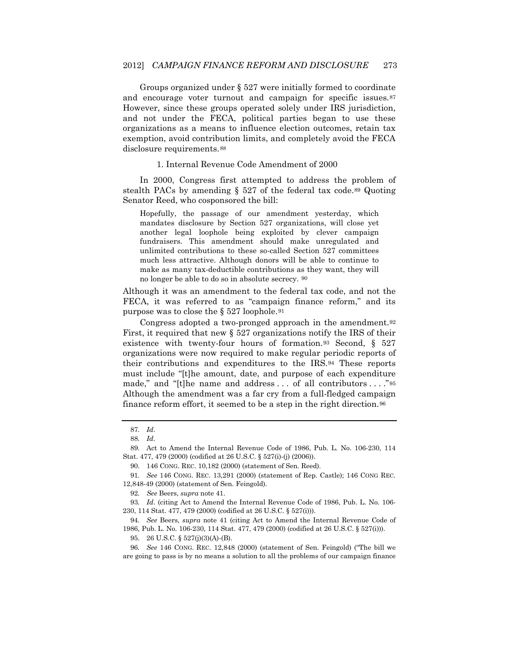Groups organized under § 527 were initially formed to coordinate and encourage voter turnout and campaign for specific issues.<sup>[87](#page-11-8)</sup> However, since these groups operated solely under IRS jurisdiction, and not under the FECA, political parties began to use these organizations as a means to influence election outcomes, retain tax exemption, avoid contribution limits, and completely avoid the FECA disclosure requirements.[88](#page-12-0)

1. Internal Revenue Code Amendment of 2000

In 2000, Congress first attempted to address the problem of stealth PACs by amending § 527 of the federal tax code.[89](#page-12-1) Quoting Senator Reed, who cosponsored the bill:

Hopefully, the passage of our amendment yesterday, which mandates disclosure by Section 527 organizations, will close yet another legal loophole being exploited by clever campaign fundraisers. This amendment should make unregulated and unlimited contributions to these so-called Section 527 committees much less attractive. Although donors will be able to continue to make as many tax-deductible contributions as they want, they will no longer be able to do so in absolute secrecy. [90](#page-12-2)

Although it was an amendment to the federal tax code, and not the FECA, it was referred to as "campaign finance reform," and its purpose was to close the § 527 loophole.[91](#page-12-3) 

Congress adopted a two-pronged approach in the amendment.[92](#page-12-4) First, it required that new § 527 organizations notify the IRS of their existence with twenty-four hours of formation.<sup>[93](#page-12-5)</sup> Second, § 527 organizations were now required to make regular periodic reports of their contributions and expenditures to the IRS.[94](#page-12-6) These reports must include "[t]he amount, date, and purpose of each expenditure made," and "[t]he name and address ... of all contributors ... ."[95](#page-12-7) Although the amendment was a far cry from a full-fledged campaign finance reform effort, it seemed to be a step in the right direction.[96](#page-12-8)

<sup>87</sup>*. Id*.

<sup>88</sup>*. Id*.

<span id="page-12-1"></span><span id="page-12-0"></span><sup>89.</sup> Act to Amend the Internal Revenue Code of 1986, Pub. L. No. 106-230, 114 Stat. 477, 479 (2000) (codified at 26 U.S.C. § 527(i)-(j) (2006)).

<sup>90.</sup> 146 CONG. REC. 10,182 (2000) (statement of Sen. Reed).

<span id="page-12-9"></span><span id="page-12-3"></span><span id="page-12-2"></span><sup>91</sup>*. See* 146 CONG. REC. 13,291 (2000) (statement of Rep. Castle); 146 CONG REC. 12,848-49 (2000) (statement of Sen. Feingold).

<sup>92</sup>*. See* Beers, *supra* note 41.

<span id="page-12-6"></span><span id="page-12-5"></span><span id="page-12-4"></span><sup>93</sup>*. Id*. (citing Act to Amend the Internal Revenue Code of 1986, Pub. L. No. 106- 230, 114 Stat. 477, 479 (2000) (codified at 26 U.S.C. § 527(i))).

<sup>94</sup>*. See* Beers, *supra* note 41 (citing Act to Amend the Internal Revenue Code of 1986, Pub. L. No. 106-230, 114 Stat. 477, 479 (2000) (codified at 26 U.S.C. § 527(i))).

<sup>95.</sup> 26 U.S.C. § 527(j)(3)(A)-(B).

<span id="page-12-8"></span><span id="page-12-7"></span><sup>96</sup>*. See* 146 CONG. REC. 12,848 (2000) (statement of Sen. Feingold) ("The bill we are going to pass is by no means a solution to all the problems of our campaign finance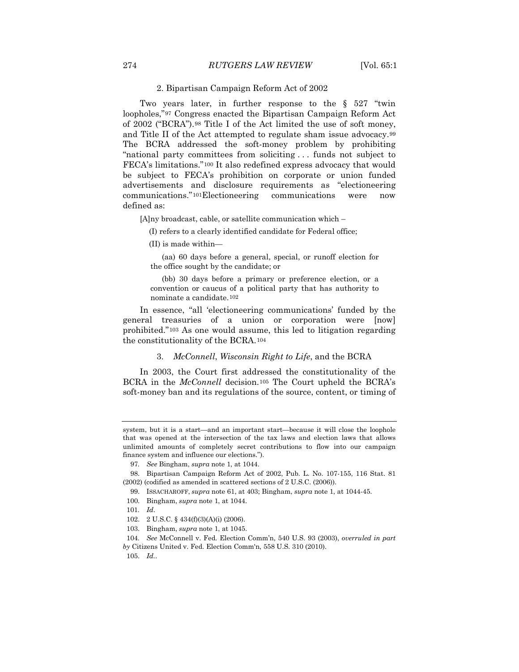### 2. Bipartisan Campaign Reform Act of 2002

Two years later, in further response to the § 527 "twin loopholes,"[97](#page-12-9) Congress enacted the Bipartisan Campaign Reform Act of 2002 ("BCRA").[98](#page-13-0) Title I of the Act limited the use of soft money, and Title II of the Act attempted to regulate sham issue advocacy.[99](#page-13-1) The BCRA addressed the soft-money problem by prohibiting "national party committees from soliciting . . . funds not subject to FECA's limitations."[100](#page-13-2) It also redefined express advocacy that would be subject to FECA's prohibition on corporate or union funded advertisements and disclosure requirements as "electioneering communications."[101](#page-13-3)Electioneering communications were now defined as:

[A]ny broadcast, cable, or satellite communication which –

(I) refers to a clearly identified candidate for Federal office;

(II) is made within—

 (aa) 60 days before a general, special, or runoff election for the office sought by the candidate; or

 (bb) 30 days before a primary or preference election, or a convention or caucus of a political party that has authority to nominate a candidate.[102](#page-13-4)

In essence, "all 'electioneering communications' funded by the general treasuries of a union or corporation were [now] prohibited."[103](#page-13-5) As one would assume, this led to litigation regarding the constitutionality of the BCRA.[104](#page-13-6)

### 3. *McConnell*, *Wisconsin Right to Life*, and the BCRA

In 2003, the Court first addressed the constitutionality of the BCRA in the *McConnell* decision.[105](#page-13-7) The Court upheld the BCRA's soft-money ban and its regulations of the source, content, or timing of

<span id="page-13-3"></span>101*. Id*.

<span id="page-13-8"></span>system, but it is a start—and an important start—because it will close the loophole that was opened at the intersection of the tax laws and election laws that allows unlimited amounts of completely secret contributions to flow into our campaign finance system and influence our elections.").

<sup>97</sup>*. See* Bingham, *supra* note 1, at 1044.

<span id="page-13-2"></span><span id="page-13-1"></span><span id="page-13-0"></span><sup>98.</sup> Bipartisan Campaign Reform Act of 2002, Pub. L. No. 107-155, 116 Stat. 81 (2002) (codified as amended in scattered sections of 2 U.S.C. (2006)).

<sup>99.</sup> ISSACHAROFF, *supra* note 61, at 403; Bingham, *supra* note 1, at 1044-45.

<sup>100.</sup> Bingham, *supra* note 1, at 1044.

<sup>102.</sup> 2 U.S.C. § 434(f)(3)(A)(i) (2006).

<sup>103.</sup> Bingham, *supra* note 1, at 1045.

<span id="page-13-7"></span><span id="page-13-6"></span><span id="page-13-5"></span><span id="page-13-4"></span><sup>104</sup>*. See* McConnell v. Fed. Election Comm'n, 540 U.S. 93 (2003), *overruled in part by* Citizens United v. Fed. Election Comm'n, 558 U.S. 310 (2010).

<sup>105.</sup> *Id.*.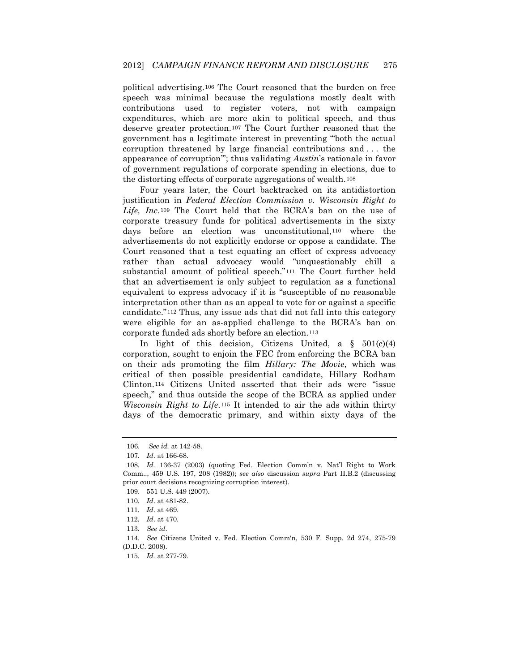political advertising.[106](#page-13-8) The Court reasoned that the burden on free speech was minimal because the regulations mostly dealt with contributions used to register voters, not with campaign expenditures, which are more akin to political speech, and thus deserve greater protection[.107](#page-14-0) The Court further reasoned that the government has a legitimate interest in preventing "'both the actual corruption threatened by large financial contributions and . . . the appearance of corruption'"; thus validating *Austin*'s rationale in favor of government regulations of corporate spending in elections, due to the distorting effects of corporate aggregations of wealth.[108](#page-14-1)

Four years later, the Court backtracked on its antidistortion justification in *Federal Election Commission v. Wisconsin Right to Life, Inc*.[109](#page-14-2) The Court held that the BCRA's ban on the use of corporate treasury funds for political advertisements in the sixty days before an election was unconstitutional,[110](#page-14-3) where the advertisements do not explicitly endorse or oppose a candidate. The Court reasoned that a test equating an effect of express advocacy rather than actual advocacy would "unquestionably chill a substantial amount of political speech."[111](#page-14-4) The Court further held that an advertisement is only subject to regulation as a functional equivalent to express advocacy if it is "susceptible of no reasonable interpretation other than as an appeal to vote for or against a specific candidate."[112](#page-14-5) Thus, any issue ads that did not fall into this category were eligible for an as-applied challenge to the BCRA's ban on corporate funded ads shortly before an election.[113](#page-14-6) 

In light of this decision, Citizens United, a  $\S$  501(c)(4) corporation, sought to enjoin the FEC from enforcing the BCRA ban on their ads promoting the film *Hillary: The Movie*, which was critical of then possible presidential candidate, Hillary Rodham Clinton.[114](#page-14-7) Citizens United asserted that their ads were "issue speech," and thus outside the scope of the BCRA as applied under *Wisconsin Right to Life*.[115](#page-14-8) It intended to air the ads within thirty days of the democratic primary, and within sixty days of the

<sup>106.</sup> *See id.* at 142-58.

<sup>107</sup>*. Id*. at 166-68.

<span id="page-14-9"></span><span id="page-14-2"></span><span id="page-14-1"></span><span id="page-14-0"></span><sup>108</sup>*. Id.* 136-37 (2003) (quoting Fed. Election Comm'n v. Nat'l Right to Work Comm.., 459 U.S. 197, 208 (1982)); *see also* discussion *supra* Part II.B.2 (discussing prior court decisions recognizing corruption interest).

<sup>109.</sup> 551 U.S. 449 (2007).

<span id="page-14-3"></span><sup>110</sup>*. Id*. at 481-82.

<span id="page-14-4"></span><sup>111</sup>*. Id*. at 469.

<sup>112</sup>*. Id*. at 470.

<sup>113</sup>*. See id*.

<span id="page-14-8"></span><span id="page-14-7"></span><span id="page-14-6"></span><span id="page-14-5"></span><sup>114</sup>*. See* Citizens United v. Fed. Election Comm'n, 530 F. Supp. 2d 274, 275-79 (D.D.C. 2008).

<sup>115</sup>*. Id.* at 277-79.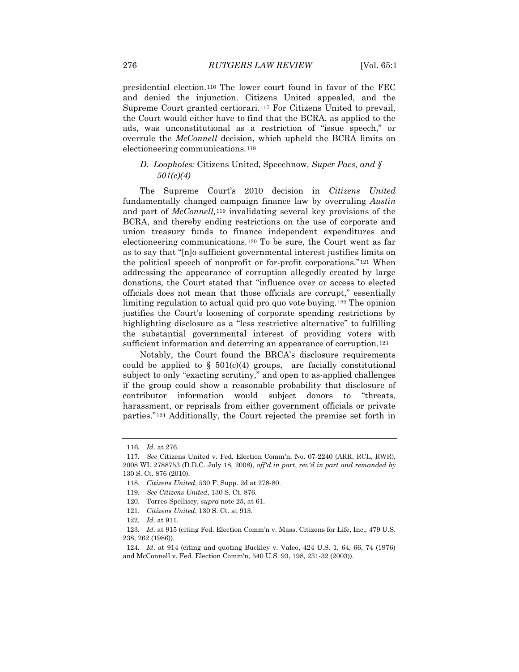presidential election.[116](#page-14-9) The lower court found in favor of the FEC and denied the injunction. Citizens United appealed, and the Supreme Court granted certiorari.[117](#page-15-0) For Citizens United to prevail, the Court would either have to find that the BCRA, as applied to the ads, was unconstitutional as a restriction of "issue speech," or overrule the *McConnell* decision, which upheld the BCRA limits on electioneering communications.[118](#page-15-1)

# *D. Loopholes:* Citizens United*,* Speechnow*, Super Pacs, and § 501(c)(4)*

The Supreme Court's 2010 decision in *Citizens United* fundamentally changed campaign finance law by overruling *Austin*  and part of *McConnell,*[119](#page-15-2) invalidating several key provisions of the BCRA, and thereby ending restrictions on the use of corporate and union treasury funds to finance independent expenditures and electioneering communications.[120](#page-15-3) To be sure, the Court went as far as to say that "[n]o sufficient governmental interest justifies limits on the political speech of nonprofit or for-profit corporations."[121](#page-15-4) When addressing the appearance of corruption allegedly created by large donations, the Court stated that "influence over or access to elected officials does not mean that those officials are corrupt," essentially limiting regulation to actual quid pro quo vote buying.[122](#page-15-5) The opinion justifies the Court's loosening of corporate spending restrictions by highlighting disclosure as a "less restrictive alternative" to fulfilling the substantial governmental interest of providing voters with sufficient information and deterring an appearance of corruption.<sup>[123](#page-15-6)</sup>

<span id="page-15-8"></span>Notably, the Court found the BRCA's disclosure requirements could be applied to  $\S$  501(c)(4) groups, are facially constitutional subject to only "exacting scrutiny," and open to as-applied challenges if the group could show a reasonable probability that disclosure of contributor information would subject donors to "threats, harassment, or reprisals from either government officials or private parties."[124](#page-15-7) Additionally, the Court rejected the premise set forth in

<sup>116</sup>*. Id*. at 276.

<span id="page-15-1"></span><span id="page-15-0"></span><sup>117</sup>*. See* Citizens United v. Fed. Election Comm'n, No. 07-2240 (ARR, RCL, RWR), 2008 WL 2788753 (D.D.C. July 18, 2008), *aff'd in part*, *rev'd in part and remanded by* 130 S. Ct. 876 (2010).

<sup>118.</sup> *Citizens United*, 530 F. Supp. 2d at 278-80.

<span id="page-15-2"></span><sup>119</sup>*. See Citizens United*, 130 S. Ct. 876.

<span id="page-15-3"></span><sup>120.</sup> Torres-Spelliscy, *supra* note 25, at 61.

<sup>121.</sup> *Citizens United*, 130 S. Ct. at 913.

<sup>122</sup>*. Id*. at 911.

<span id="page-15-6"></span><span id="page-15-5"></span><span id="page-15-4"></span><sup>123</sup>*. Id*. at 915 (citing Fed. Election Comm'n v. Mass. Citizens for Life, Inc., 479 U.S. 238, 262 (1986)).

<span id="page-15-7"></span><sup>124</sup>*. Id*. at 914 (citing and quoting Buckley v. Valeo, 424 U.S. 1, 64, 66, 74 (1976) and McConnell v. Fed. Election Comm'n, 540 U.S. 93, 198, 231-32 (2003)).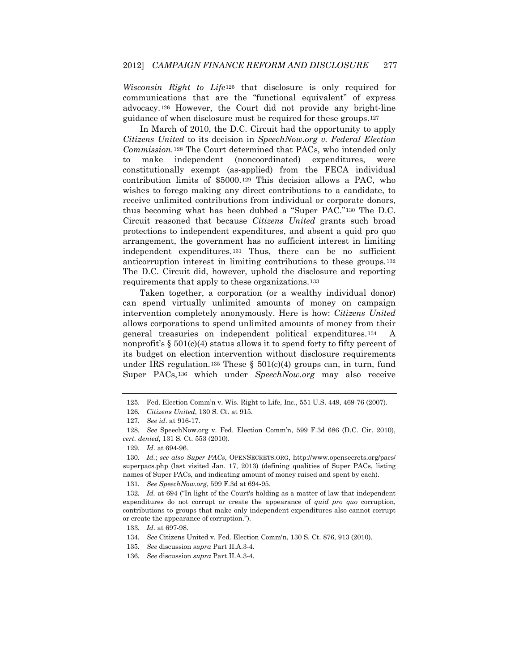*Wisconsin Right to Life*[125](#page-15-8) that disclosure is only required for communications that are the "functional equivalent" of express advocacy.[126](#page-16-0) However, the Court did not provide any bright-line guidance of when disclosure must be required for these groups.[127](#page-16-1)

In March of 2010, the D.C. Circuit had the opportunity to apply *Citizens United* to its decision in *SpeechNow.org v. Federal Election Commission.*[128](#page-16-2) The Court determined that PACs, who intended only to make independent (noncoordinated) expenditures, were constitutionally exempt (as-applied) from the FECA individual contribution limits of \$5000.[129](#page-16-3) This decision allows a PAC, who wishes to forego making any direct contributions to a candidate, to receive unlimited contributions from individual or corporate donors, thus becoming what has been dubbed a "Super PAC."[130](#page-16-4) The D.C. Circuit reasoned that because *Citizens United* grants such broad protections to independent expenditures, and absent a quid pro quo arrangement, the government has no sufficient interest in limiting independent expenditures.[131](#page-16-5) Thus, there can be no sufficient anticorruption interest in limiting contributions to these groups.[132](#page-16-6) The D.C. Circuit did, however, uphold the disclosure and reporting requirements that apply to these organizations.[133](#page-16-7) 

<span id="page-16-11"></span>Taken together, a corporation (or a wealthy individual donor) can spend virtually unlimited amounts of money on campaign intervention completely anonymously. Here is how: *Citizens United* allows corporations to spend unlimited amounts of money from their general treasuries on independent political expenditures.[134](#page-16-8) A nonprofit's  $\S 501(c)(4)$  status allows it to spend forty to fifty percent of its budget on election intervention without disclosure requirements under IRS regulation.<sup>[135](#page-16-9)</sup> These §  $501(c)(4)$  groups can, in turn, fund Super PACs,[136](#page-16-10) which under *SpeechNow.org* may also receive

131*. See SpeechNow.org*, 599 F.3d at 694-95.

<span id="page-16-7"></span>133*. Id*. at 697-98.

<sup>125.</sup> Fed. Election Comm'n v. Wis. Right to Life, Inc., 551 U.S. 449, 469-76 (2007).

<sup>126</sup>*. Citizens United*, 130 S. Ct. at 915.

<sup>127</sup>*. See id*. at 916-17.

<span id="page-16-2"></span><span id="page-16-1"></span><span id="page-16-0"></span><sup>128</sup>*. See* SpeechNow.org v. Fed. Election Comm'n, 599 F.3d 686 (D.C. Cir. 2010), *cert. denied*, 131 S. Ct. 553 (2010).

<sup>129</sup>*. Id*. at 694-96.

<span id="page-16-4"></span><span id="page-16-3"></span><sup>130</sup>*. Id.*; *see also Super PACs*, OPENSECRETS.ORG, http://www.opensecrets.org/pacs/ superpacs.php (last visited Jan. 17, 2013) (defining qualities of Super PACs, listing names of Super PACs, and indicating amount of money raised and spent by each).

<span id="page-16-6"></span><span id="page-16-5"></span><sup>132</sup>*. Id.* at 694 ("In light of the Court's holding as a matter of law that independent expenditures do not corrupt or create the appearance of *quid pro quo* corruption, contributions to groups that make only independent expenditures also cannot corrupt or create the appearance of corruption.").

<span id="page-16-8"></span><sup>134</sup>*. See* Citizens United v. Fed. Election Comm'n, 130 S. Ct. 876, 913 (2010).

<span id="page-16-9"></span><sup>135</sup>*. See* discussion *supra* Part II.A.3-4.

<span id="page-16-10"></span><sup>136</sup>*. See* discussion *supra* Part II.A.3-4.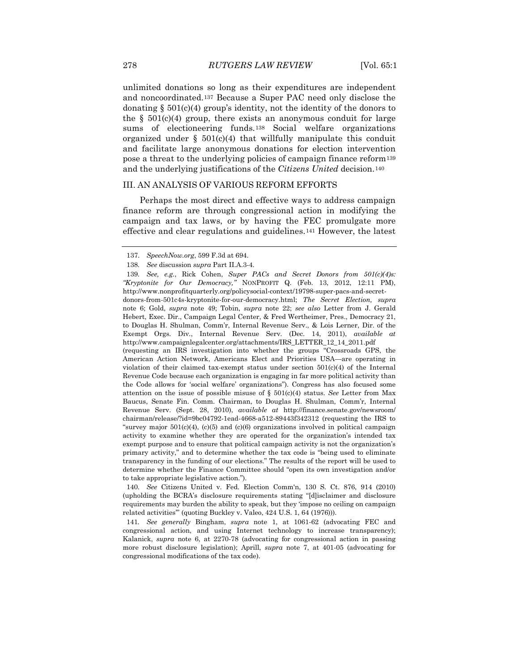unlimited donations so long as their expenditures are independent and noncoordinated.[137](#page-16-11) Because a Super PAC need only disclose the donating  $\S$  501(c)(4) group's identity, not the identity of the donors to the  $\S$  501(c)(4) group, there exists an anonymous conduit for large sums of electioneering funds.[138](#page-17-0) Social welfare organizations organized under  $\S$  501(c)(4) that willfully manipulate this conduit and facilitate large anonymous donations for election intervention pose a threat to the underlying policies of campaign finance reform[139](#page-17-1) and the underlying justifications of the *Citizens United* decision.[140](#page-17-2)

### III. AN ANALYSIS OF VARIOUS REFORM EFFORTS

Perhaps the most direct and effective ways to address campaign finance reform are through congressional action in modifying the campaign and tax laws, or by having the FEC promulgate more effective and clear regulations and guidelines.[141](#page-17-3) However, the latest

<span id="page-17-4"></span><span id="page-17-2"></span>140*. See* Citizens United v. Fed. Election Comm'n, 130 S. Ct. 876, 914 (2010) (upholding the BCRA's disclosure requirements stating "[d]isclaimer and disclosure requirements may burden the ability to speak, but they 'impose no ceiling on campaign related activities'" (quoting Buckley v. Valeo, 424 U.S. 1, 64 (1976))).

<span id="page-17-3"></span>141*. See generally* Bingham, *supra* note 1, at 1061-62 (advocating FEC and congressional action, and using Internet technology to increase transparency); Kalanick, *supra* note 6, at 2270-78 (advocating for congressional action in passing more robust disclosure legislation); Aprill, *supra* note 7, at 401-05 (advocating for congressional modifications of the tax code).

<sup>137.</sup> *SpeechNow.org*, 599 F.3d at 694.

<sup>138</sup>*. See* discussion *supra* Part II.A.3-4.

<span id="page-17-1"></span><span id="page-17-0"></span><sup>139</sup>*. See, e.g.*, Rick Cohen, *Super PACs and Secret Donors from 501(c)(4)s: "Kryptonite for Our Democracy,"* NONPROFIT Q. (Feb. 13, 2012, 12:11 PM), http://www.nonprofitquarterly.org/policysocial-context/19798-super-pacs-and-secretdonors-from-501c4s-kryptonite-for-our-democracy.html; *The Secret Election, supra*  note 6; Gold, *supra* note 49; Tobin, *supra* note 22; *see also* Letter from J. Gerald Hebert, Exec. Dir., Campaign Legal Center, & Fred Wertheimer, Pres., Democracy 21, to Douglas H. Shulman, Comm'r, Internal Revenue Serv., & Lois Lerner, Dir. of the Exempt Orgs. Div., Internal Revenue Serv. (Dec. 14, 2011), *available at*  http://www.campaignlegalcenter.org/attachments/IRS\_LETTER\_12\_14\_2011.pdf (requesting an IRS investigation into whether the groups "Crossroads GPS, the American Action Network, Americans Elect and Priorities USA—are operating in violation of their claimed tax-exempt status under section  $501(c)(4)$  of the Internal Revenue Code because each organization is engaging in far more political activity than the Code allows for 'social welfare' organizations"). Congress has also focused some attention on the issue of possible misuse of  $\S$  501(c)(4) status. *See* Letter from Max Baucus, Senate Fin. Comm. Chairman, to Douglas H. Shulman, Comm'r, Internal Revenue Serv. (Sept. 28, 2010), *available at* http://finance.senate.gov/newsroom/ chairman/release/?id=9bc04792-1ead-4668-a512-89443f342312 (requesting the IRS to "survey major  $501(c)(4)$ , (c)(5) and (c)(6) organizations involved in political campaign activity to examine whether they are operated for the organization's intended tax exempt purpose and to ensure that political campaign activity is not the organization's primary activity," and to determine whether the tax code is "being used to eliminate transparency in the funding of our elections." The results of the report will be used to determine whether the Finance Committee should "open its own investigation and/or to take appropriate legislative action.").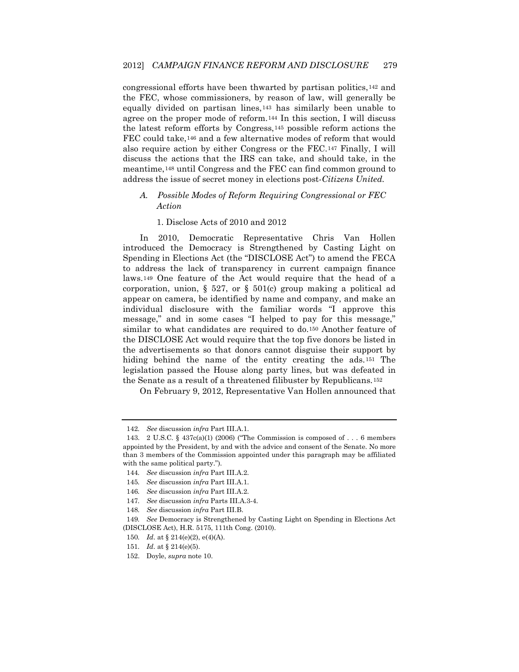congressional efforts have been thwarted by partisan politics,[142](#page-17-4) and the FEC, whose commissioners, by reason of law, will generally be equally divided on partisan lines,[143](#page-18-0) has similarly been unable to agree on the proper mode of reform.[144](#page-18-1) In this section, I will discuss the latest reform efforts by Congress,[145](#page-18-2) possible reform actions the FEC could take,<sup>[146](#page-18-3)</sup> and a few alternative modes of reform that would also require action by either Congress or the FEC.[147](#page-18-4) Finally, I will discuss the actions that the IRS can take, and should take, in the meantime,[148](#page-18-5) until Congress and the FEC can find common ground to address the issue of secret money in elections post-*Citizens United.*

## *A. Possible Modes of Reform Requiring Congressional or FEC Action*

#### 1. Disclose Acts of 2010 and 2012

In 2010, Democratic Representative Chris Van Hollen introduced the Democracy is Strengthened by Casting Light on Spending in Elections Act (the "DISCLOSE Act") to amend the FECA to address the lack of transparency in current campaign finance laws.[149](#page-18-6) One feature of the Act would require that the head of a corporation, union,  $\S$  527, or  $\S$  501(c) group making a political ad appear on camera, be identified by name and company, and make an individual disclosure with the familiar words "I approve this message," and in some cases "I helped to pay for this message," similar to what candidates are required to do.[150](#page-18-7) Another feature of the DISCLOSE Act would require that the top five donors be listed in the advertisements so that donors cannot disguise their support by hiding behind the name of the entity creating the ads.<sup>[151](#page-18-8)</sup> The legislation passed the House along party lines, but was defeated in the Senate as a result of a threatened filibuster by Republicans.[152](#page-18-9)

<span id="page-18-10"></span>On February 9, 2012, Representative Van Hollen announced that

<sup>142</sup>*. See* discussion *infra* Part III.A.1.

<span id="page-18-0"></span><sup>143.</sup> 2 U.S.C. § 437c(a)(1) (2006) ("The Commission is composed of . . . 6 members appointed by the President, by and with the advice and consent of the Senate. No more than 3 members of the Commission appointed under this paragraph may be affiliated with the same political party.").

<span id="page-18-1"></span><sup>144</sup>*. See* discussion *infra* Part III.A.2.

<span id="page-18-2"></span><sup>145</sup>*. See* discussion *infra* Part III.A.1.

<sup>146</sup>*. See* discussion *infra* Part III.A.2.

<sup>147</sup>*. See* discussion *infra* Parts III.A.3-4.

<sup>148</sup>*. See* discussion *infra* Part III.B.

<span id="page-18-8"></span><span id="page-18-7"></span><span id="page-18-6"></span><span id="page-18-5"></span><span id="page-18-4"></span><span id="page-18-3"></span><sup>149</sup>*. See* Democracy is Strengthened by Casting Light on Spending in Elections Act (DISCLOSE Act), H.R. 5175, 111th Cong. (2010).

<sup>150</sup>*. Id*. at § 214(e)(2), e(4)(A).

<sup>151</sup>*. Id*. at § 214(e)(5).

<span id="page-18-9"></span><sup>152.</sup> Doyle, *supra* note 10.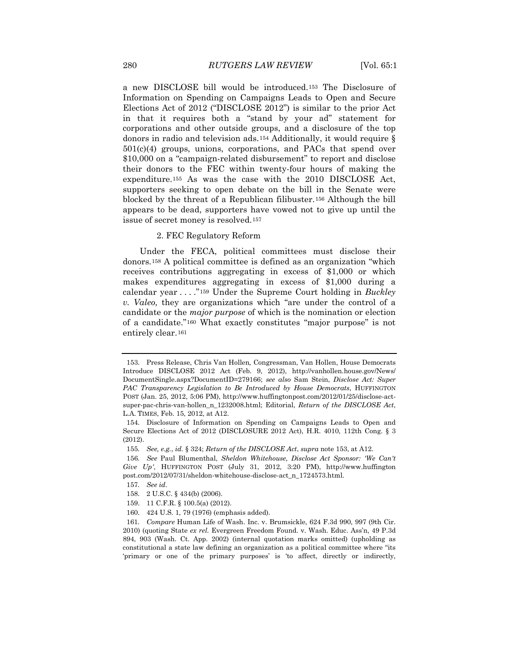a new DISCLOSE bill would be introduced.[153](#page-18-10) The Disclosure of Information on Spending on Campaigns Leads to Open and Secure Elections Act of 2012 ("DISCLOSE 2012") is similar to the prior Act in that it requires both a "stand by your ad" statement for corporations and other outside groups, and a disclosure of the top donors in radio and television ads.[154](#page-19-0) Additionally, it would require § 501(c)(4) groups, unions, corporations, and PACs that spend over \$10,000 on a "campaign-related disbursement" to report and disclose their donors to the FEC within twenty-four hours of making the expenditure.[155](#page-19-1) As was the case with the 2010 DISCLOSE Act, supporters seeking to open debate on the bill in the Senate were blocked by the threat of a Republican filibuster.[156](#page-19-2) Although the bill appears to be dead, supporters have vowed not to give up until the issue of secret money is resolved.[157](#page-19-3) 

### 2. FEC Regulatory Reform

Under the FECA, political committees must disclose their donors.[158](#page-19-4) A political committee is defined as an organization "which receives contributions aggregating in excess of \$1,000 or which makes expenditures aggregating in excess of \$1,000 during a calendar year . . . ."[159](#page-19-5) Under the Supreme Court holding in *Buckley v. Valeo,* they are organizations which "are under the control of a candidate or the *major purpose* of which is the nomination or election of a candidate."[160](#page-19-6) What exactly constitutes "major purpose" is not entirely clear.[161](#page-19-7)

160. 424 U.S. 1, 79 (1976) (emphasis added).

<sup>153.</sup> Press Release, Chris Van Hollen*,* Congressman, Van Hollen, House Democrats Introduce DISCLOSE 2012 Act (Feb. 9, 2012), http://vanhollen.house.gov/News/ DocumentSingle.aspx?DocumentID=279166; *see also* Sam Stein, *Disclose Act: Super PAC Transparency Legislation to Be Introduced by House Democrats*, HUFFINGTON POST (Jan. 25, 2012, 5:06 PM), http://www.huffingtonpost.com/2012/01/25/disclose-actsuper-pac-chris-van-hollen\_n\_1232008.html; Editorial, *Return of the DISCLOSE Act*, L.A. TIMES, Feb. 15, 2012, at A12.

<span id="page-19-8"></span><span id="page-19-0"></span><sup>154.</sup> Disclosure of Information on Spending on Campaigns Leads to Open and Secure Elections Act of 2012 (DISCLOSURE 2012 Act), H.R. 4010, 112th Cong. § 3 (2012).

<sup>155</sup>*. See, e.g.*, *id.* § 324; *Return of the DISCLOSE Act*, *supra* note 153, at A12.

<span id="page-19-3"></span><span id="page-19-2"></span><span id="page-19-1"></span><sup>156</sup>*. See* Paul Blumenthal, *Sheldon Whitehouse, Disclose Act Sponsor: 'We Can't Give Up'*, HUFFINGTON POST (July 31, 2012, 3:20 PM), http://www.huffington post.com/2012/07/31/sheldon-whitehouse-disclose-act\_n\_1724573.html.

<sup>157</sup>*. See id.*

<sup>158.</sup> 2 U.S.C. § 434(b) (2006).

<sup>159.</sup> 11 C.F.R. § 100.5(a) (2012).

<span id="page-19-7"></span><span id="page-19-6"></span><span id="page-19-5"></span><span id="page-19-4"></span><sup>161</sup>*. Compare* Human Life of Wash. Inc. v. Brumsickle, 624 F.3d 990, 997 (9th Cir. 2010) (quoting State *ex rel.* Evergreen Freedom Found. v. Wash. Educ. Ass'n, 49 P.3d 894, 903 (Wash. Ct. App. 2002) (internal quotation marks omitted) (upholding as constitutional a state law defining an organization as a political committee where "its 'primary or one of the primary purposes' is 'to affect, directly or indirectly,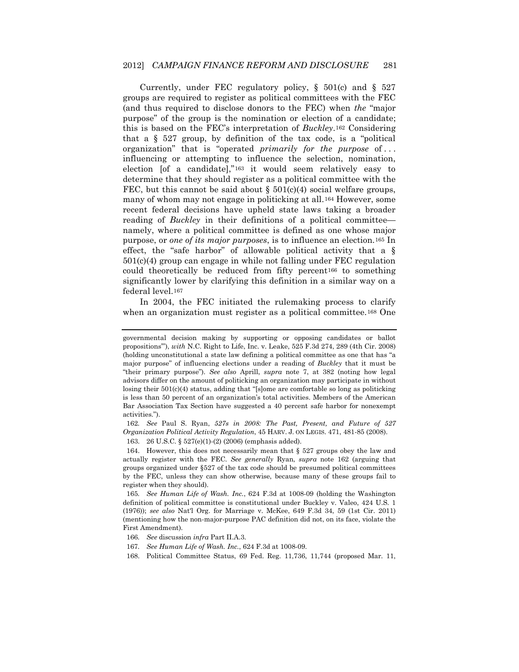Currently, under FEC regulatory policy, § 501(c) and § 527 groups are required to register as political committees with the FEC (and thus required to disclose donors to the FEC) when *the* "major purpose" of the group is the nomination or election of a candidate; this is based on the FEC's interpretation of *Buckley*.[162](#page-19-8) Considering that a  $\S$  527 group, by definition of the tax code, is a "political organization" that is "operated *primarily for the purpose* of . . . influencing or attempting to influence the selection, nomination, election [of a candidate],"[163](#page-20-0) it would seem relatively easy to determine that they should register as a political committee with the FEC, but this cannot be said about  $\S 501(c)(4)$  social welfare groups, many of whom may not engage in politicking at all.[164](#page-20-1) However, some recent federal decisions have upheld state laws taking a broader reading of *Buckley* in their definitions of a political committee namely, where a political committee is defined as one whose major purpose, or *one of its major purposes*, is to influence an election.[165](#page-20-2) In effect, the "safe harbor" of allowable political activity that a § 501(c)(4) group can engage in while not falling under FEC regulation could theoretically be reduced from fifty percent[166](#page-20-3) to something significantly lower by clarifying this definition in a similar way on a federal level.[167](#page-20-4)

In 2004, the FEC initiated the rulemaking process to clarify when an organization must register as a political committee.<sup>[168](#page-20-5)</sup> One

<span id="page-20-6"></span>162*. See* Paul S. Ryan, *527s in 2008: The Past, Present, and Future of 527 Organization Political Activity Regulation*, 45 HARV. J. ON LEGIS. 471, 481-85 (2008).

163. 26 U.S.C. § 527(e)(1)-(2) (2006) (emphasis added).

<span id="page-20-1"></span><span id="page-20-0"></span>164. However, this does not necessarily mean that § 527 groups obey the law and actually register with the FEC. *See generally* Ryan, *supra* note 162 (arguing that groups organized under §527 of the tax code should be presumed political committees by the FEC, unless they can show otherwise, because many of these groups fail to register when they should).

<span id="page-20-2"></span>165*. See Human Life of Wash. Inc.*, 624 F.3d at 1008-09 (holding the Washington definition of political committee is constitutional under Buckley v. Valeo, 424 U.S. 1 (1976)); *see also* Nat'l Org. for Marriage v. McKee, 649 F.3d 34, 59 (1st Cir. 2011) (mentioning how the non-major-purpose PAC definition did not, on its face, violate the First Amendment).

- <span id="page-20-4"></span>167*. See Human Life of Wash. Inc.*, 624 F.3d at 1008-09.
- <span id="page-20-5"></span>168. Political Committee Status, 69 Fed. Reg. 11,736, 11,744 (proposed Mar. 11,

governmental decision making by supporting or opposing candidates or ballot propositions'"), *with* N.C. Right to Life, Inc. v. Leake, 525 F.3d 274, 289 (4th Cir. 2008) (holding unconstitutional a state law defining a political committee as one that has "a major purpose" of influencing elections under a reading of *Buckley* that it must be "their primary purpose"). *See also* Aprill, *supra* note 7, at 382 (noting how legal advisors differ on the amount of politicking an organization may participate in without losing their  $501(c)(4)$  status, adding that "[s]ome are comfortable so long as politicking is less than 50 percent of an organization's total activities. Members of the American Bar Association Tax Section have suggested a 40 percent safe harbor for nonexempt activities.").

<span id="page-20-3"></span><sup>166</sup>*. See* discussion *infra* Part II.A.3.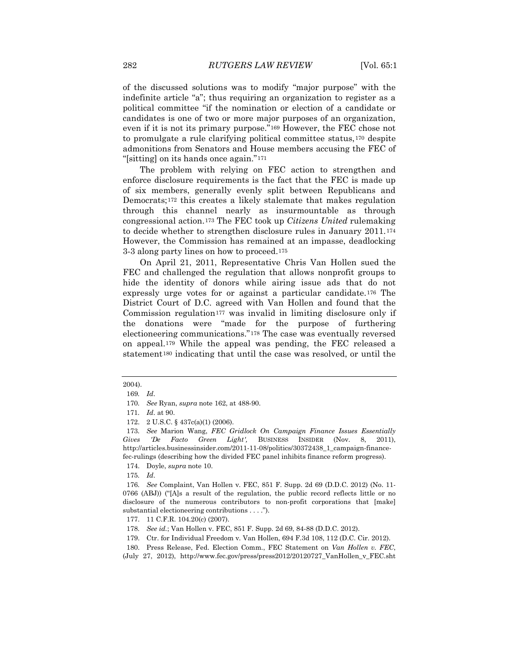of the discussed solutions was to modify "major purpose" with the indefinite article "a"; thus requiring an organization to register as a political committee "if the nomination or election of a candidate or candidates is one of two or more major purposes of an organization, even if it is not its primary purpose."[169](#page-20-6) However, the FEC chose not to promulgate a rule clarifying political committee status,[170](#page-21-0) despite admonitions from Senators and House members accusing the FEC of "[sitting] on its hands once again."[171](#page-21-1)

The problem with relying on FEC action to strengthen and enforce disclosure requirements is the fact that the FEC is made up of six members, generally evenly split between Republicans and Democrats;[172](#page-21-2) this creates a likely stalemate that makes regulation through this channel nearly as insurmountable as through congressional action.[173](#page-21-3) The FEC took up *Citizens United* rulemaking to decide whether to strengthen disclosure rules in January 2011.[174](#page-21-4) However, the Commission has remained at an impasse, deadlocking 3-3 along party lines on how to proceed.[175](#page-21-5)

On April 21, 2011, Representative Chris Van Hollen sued the FEC and challenged the regulation that allows nonprofit groups to hide the identity of donors while airing issue ads that do not expressly urge votes for or against a particular candidate.[176](#page-21-6) The District Court of D.C. agreed with Van Hollen and found that the Commission regulation<sup>[177](#page-21-7)</sup> was invalid in limiting disclosure only if the donations were "made for the purpose of furthering electioneering communications."[178](#page-21-8) The case was eventually reversed on appeal.[179](#page-21-9) While the appeal was pending, the FEC released a statement<sup>[180](#page-21-10)</sup> indicating that until the case was resolved, or until the

175*. Id*.

<span id="page-21-11"></span><span id="page-21-0"></span><sup>2004).</sup>

<sup>169</sup>*. Id*.

<sup>170</sup>*. See* Ryan, *supra* note 162, at 488-90.

<sup>171</sup>*. Id*. at 90.

<sup>172.</sup> 2 U.S.C. § 437c(a)(1) (2006).

<span id="page-21-3"></span><span id="page-21-2"></span><span id="page-21-1"></span><sup>173</sup>*. See* Marion Wang, *FEC Gridlock On Campaign Finance Issues Essentially Gives 'De Facto Green Light',* BUSINESS INSIDER (Nov. 8, 2011), http://articles.businessinsider.com/2011-11-08/politics/30372438\_1\_campaign-financefec-rulings (describing how the divided FEC panel inhibits finance reform progress).

<sup>174.</sup> Doyle, *supra* note 10.

<span id="page-21-6"></span><span id="page-21-5"></span><span id="page-21-4"></span><sup>176</sup>*. See* Complaint, Van Hollen v. FEC, 851 F. Supp. 2d 69 (D.D.C. 2012) (No. 11- 0766 (ABJ)) ("[A]s a result of the regulation, the public record reflects little or no disclosure of the numerous contributors to non-profit corporations that [make] substantial electioneering contributions . . . .").

<span id="page-21-7"></span><sup>177.</sup> 11 C.F.R. 104.20(c) (2007).

<sup>178</sup>*. See id.*; Van Hollen v. FEC, 851 F. Supp. 2d 69, 84-88 (D.D.C. 2012).

<sup>179.</sup> Ctr. for Individual Freedom v. Van Hollen, 694 F.3d 108, 112 (D.C. Cir. 2012).

<span id="page-21-10"></span><span id="page-21-9"></span><span id="page-21-8"></span><sup>180.</sup> Press Release, Fed. Election Comm., FEC Statement on *Van Hollen v. FEC*, (July 27, 2012), http://www.fec.gov/press/press2012/20120727\_VanHollen\_v\_FEC.sht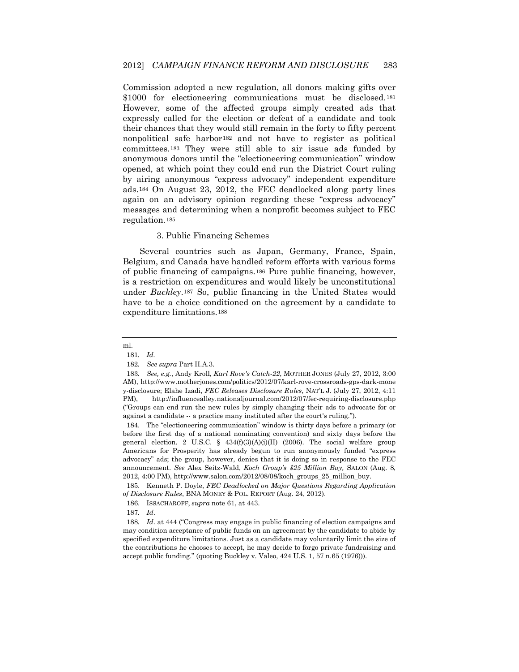Commission adopted a new regulation, all donors making gifts over \$1000 for electioneering communications must be disclosed.<sup>[181](#page-21-11)</sup> However, some of the affected groups simply created ads that expressly called for the election or defeat of a candidate and took their chances that they would still remain in the forty to fifty percent nonpolitical safe harbor[182](#page-22-0) and not have to register as political committees.[183](#page-22-1) They were still able to air issue ads funded by anonymous donors until the "electioneering communication" window opened, at which point they could end run the District Court ruling by airing anonymous "express advocacy" independent expenditure ads.[184](#page-22-2) On August 23, 2012, the FEC deadlocked along party lines again on an advisory opinion regarding these "express advocacy" messages and determining when a nonprofit becomes subject to FEC regulation.[185](#page-22-3)

### 3. Public Financing Schemes

Several countries such as Japan, Germany, France, Spain, Belgium, and Canada have handled reform efforts with various forms of public financing of campaigns.[186](#page-22-4) Pure public financing, however, is a restriction on expenditures and would likely be unconstitutional under *Buckley*.[187](#page-22-5) So, public financing in the United States would have to be a choice conditioned on the agreement by a candidate to expenditure limitations.[188](#page-22-6)

### ml.

<span id="page-22-4"></span><span id="page-22-3"></span>185. Kenneth P. Doyle, *FEC Deadlocked on Major Questions Regarding Application of Disclosure Rules*, BNA MONEY & POL. REPORT (Aug. 24, 2012).

187*. Id*.

<sup>181</sup>*. Id.*

<sup>182</sup>*. See supra* Part II.A.3.

<span id="page-22-1"></span><span id="page-22-0"></span><sup>183</sup>*. See, e.g.*, Andy Kroll, *Karl Rove's Catch-22*, MOTHER JONES (July 27, 2012, 3:00 AM), http://www.motherjones.com/politics/2012/07/karl-rove-crossroads-gps-dark-mone y-disclosure; Elahe Izadi, *FEC Releases Disclosure Rules*, NAT'L J. (July 27, 2012, 4:11 PM), http://influencealley.nationaljournal.com/2012/07/fec-requiring-disclosure.php ("Groups can end run the new rules by simply changing their ads to advocate for or against a candidate -- a practice many instituted after the court's ruling.").

<span id="page-22-7"></span><span id="page-22-2"></span><sup>184.</sup> The "electioneering communication" window is thirty days before a primary (or before the first day of a national nominating convention) and sixty days before the general election. 2 U.S.C. § 434(f)(3)(A)(i)(II) (2006). The social welfare group Americans for Prosperity has already begun to run anonymously funded "express advocacy" ads; the group, however, denies that it is doing so in response to the FEC announcement. *See* Alex Seitz-Wald, *Koch Group's \$25 Million Buy,* SALON (Aug. 8, 2012, 4:00 PM), http://www.salon.com/2012/08/08/koch\_groups\_25\_million\_buy.

<sup>186.</sup> ISSACHAROFF, *supra* note 61, at 443.

<span id="page-22-6"></span><span id="page-22-5"></span><sup>188</sup>*. Id*. at 444 ("Congress may engage in public financing of election campaigns and may condition acceptance of public funds on an agreement by the candidate to abide by specified expenditure limitations. Just as a candidate may voluntarily limit the size of the contributions he chooses to accept, he may decide to forgo private fundraising and accept public funding." (quoting Buckley v. Valeo, 424 U.S. 1, 57 n.65 (1976))).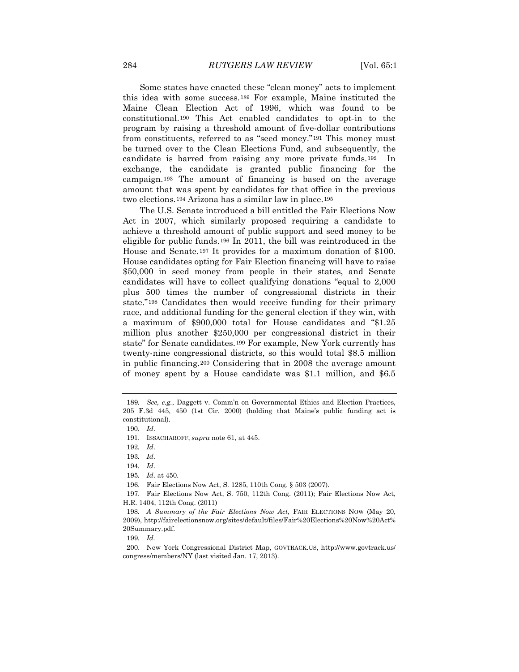Some states have enacted these "clean money" acts to implement this idea with some success.[189](#page-22-7) For example, Maine instituted the Maine Clean Election Act of 1996, which was found to be constitutional.[190](#page-23-0) This Act enabled candidates to opt-in to the program by raising a threshold amount of five-dollar contributions from constituents, referred to as "seed money."[191](#page-23-1) This money must be turned over to the Clean Elections Fund, and subsequently, the candidate is barred from raising any more private funds.[192](#page-23-2) In exchange, the candidate is granted public financing for the campaign.[193](#page-23-3) The amount of financing is based on the average amount that was spent by candidates for that office in the previous two elections.[194](#page-23-4) Arizona has a similar law in place.[195](#page-23-5)

The U.S. Senate introduced a bill entitled the Fair Elections Now Act in 2007, which similarly proposed requiring a candidate to achieve a threshold amount of public support and seed money to be eligible for public funds.[196](#page-23-6) In 2011, the bill was reintroduced in the House and Senate.[197](#page-23-7) It provides for a maximum donation of \$100. House candidates opting for Fair Election financing will have to raise \$50,000 in seed money from people in their states, and Senate candidates will have to collect qualifying donations "equal to 2,000 plus 500 times the number of congressional districts in their state."[198](#page-23-8) Candidates then would receive funding for their primary race, and additional funding for the general election if they win, with a maximum of \$900,000 total for House candidates and "\$1.25 million plus another \$250,000 per congressional district in their state" for Senate candidates.[199](#page-23-9) For example, New York currently has twenty-nine congressional districts, so this would total \$8.5 million in public financing.[200](#page-23-10) Considering that in 2008 the average amount of money spent by a House candidate was \$1.1 million, and \$6.5

<span id="page-23-11"></span><span id="page-23-0"></span><sup>189</sup>*. See, e.g.*, Daggett v. Comm'n on Governmental Ethics and Election Practices, 205 F.3d 445, 450 (1st Cir. 2000) (holding that Maine's public funding act is constitutional).

<sup>190</sup>*. Id*.

<span id="page-23-1"></span><sup>191.</sup> ISSACHAROFF, *supra* note 61, at 445.

<span id="page-23-2"></span><sup>192</sup>*. Id*.

<span id="page-23-3"></span><sup>193</sup>*. Id*.

<span id="page-23-4"></span><sup>194</sup>*. Id*.

<sup>195</sup>*. Id*. at 450.

<sup>196.</sup> Fair Elections Now Act, S. 1285, 110th Cong. § 503 (2007).

<span id="page-23-7"></span><span id="page-23-6"></span><span id="page-23-5"></span><sup>197.</sup> Fair Elections Now Act, S. 750, 112th Cong. (2011); Fair Elections Now Act, H.R. 1404, 112th Cong. (2011)

<span id="page-23-8"></span><sup>198</sup>*. A Summary of the Fair Elections Now Act*, FAIR ELECTIONS NOW (May 20, 2009), http://fairelectionsnow.org/sites/default/files/Fair%20Elections%20Now%20Act% 20Summary.pdf.

<sup>199</sup>*. Id.*

<span id="page-23-10"></span><span id="page-23-9"></span><sup>200.</sup> New York Congressional District Map, GOVTRACK.US, http://www.govtrack.us/ congress/members/NY (last visited Jan. 17, 2013).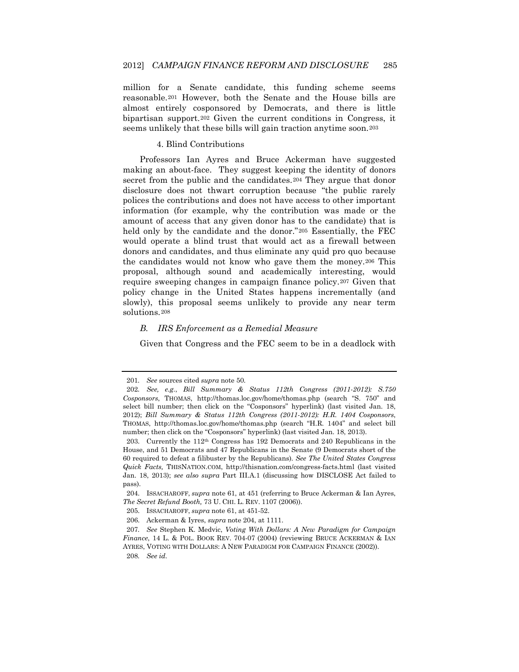million for a Senate candidate, this funding scheme seems reasonable.[201](#page-23-11) However, both the Senate and the House bills are almost entirely cosponsored by Democrats, and there is little bipartisan support.[202](#page-24-0) Given the current conditions in Congress, it seems unlikely that these bills will gain traction anytime soon.[203](#page-24-1)

### 4. Blind Contributions

Professors Ian Ayres and Bruce Ackerman have suggested making an about-face. They suggest keeping the identity of donors secret from the public and the candidates.<sup>[204](#page-24-2)</sup> They argue that donor disclosure does not thwart corruption because "the public rarely polices the contributions and does not have access to other important information (for example, why the contribution was made or the amount of access that any given donor has to the candidate) that is held only by the candidate and the donor."[205](#page-24-3) Essentially, the FEC would operate a blind trust that would act as a firewall between donors and candidates, and thus eliminate any quid pro quo because the candidates would not know who gave them the money.[206](#page-24-4) This proposal, although sound and academically interesting, would require sweeping changes in campaign finance policy.[207](#page-24-5) Given that policy change in the United States happens incrementally (and slowly), this proposal seems unlikely to provide any near term solutions.[208](#page-24-6)

### *B. IRS Enforcement as a Remedial Measure*

Given that Congress and the FEC seem to be in a deadlock with

<sup>201</sup>*. See* sources cited *supra* note 50.

<span id="page-24-0"></span><sup>202</sup>*. See, e.g.*, *Bill Summary & Status 112th Congress (2011-2012): S.750 Cosponsors*, THOMAS, http://thomas.loc.gov/home/thomas.php (search "S. 750" and select bill number; then click on the "Cosponsors" hyperlink) (last visited Jan. 18, 2012); *Bill Summary & Status 112th Congress (2011-2012): H.R. 1404 Cosponsors*, THOMAS, http://thomas.loc.gov/home/thomas.php (search "H.R. 1404" and select bill number; then click on the "Cosponsors" hyperlink) (last visited Jan. 18, 2013).

<span id="page-24-7"></span><span id="page-24-1"></span><sup>203.</sup> Currently the 112th Congress has 192 Democrats and 240 Republicans in the House, and 51 Democrats and 47 Republicans in the Senate (9 Democrats short of the 60 required to defeat a filibuster by the Republicans). *See The United States Congress Quick Facts,* THISNATION.COM, http://thisnation.com/congress-facts.html (last visited Jan. 18, 2013); *see also supra* Part III.A.1 (discussing how DISCLOSE Act failed to pass).

<span id="page-24-3"></span><span id="page-24-2"></span><sup>204.</sup> ISSACHAROFF, *supra* note 61, at 451 (referring to Bruce Ackerman & Ian Ayres, *The Secret Refund Booth,* 73 U. CHI. L. REV. 1107 (2006)).

<sup>205.</sup> ISSACHAROFF, *supra* note 61, at 451-52.

<sup>206.</sup> Ackerman & Iyres, *supra* note 204, at 1111.

<span id="page-24-6"></span><span id="page-24-5"></span><span id="page-24-4"></span><sup>207</sup>*. See* Stephen K. Medvic, *Voting With Dollars: A New Paradigm for Campaign Finance*, 14 L. & POL. BOOK REV. 704-07 (2004) (reviewing BRUCE ACKERMAN & IAN AYRES, VOTING WITH DOLLARS: A NEW PARADIGM FOR CAMPAIGN FINANCE (2002)). 208*. See id.*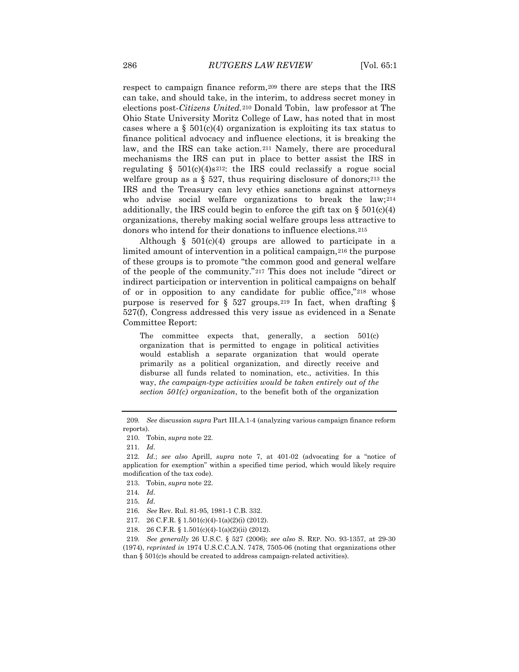respect to campaign finance reform,[209](#page-24-7) there are steps that the IRS can take, and should take, in the interim, to address secret money in elections post-*Citizens United.*[210](#page-25-0) Donald Tobin, law professor at The Ohio State University Moritz College of Law, has noted that in most cases where a  $\S$  501(c)(4) organization is exploiting its tax status to finance political advocacy and influence elections, it is breaking the law, and the IRS can take action.[211](#page-25-1) Namely, there are procedural mechanisms the IRS can put in place to better assist the IRS in regulating  $\S$  501(c)(4)s<sup>212</sup>: the IRS could reclassify a rogue social welfare group as a  $\S$  527, thus requiring disclosure of donors;<sup>[213](#page-25-3)</sup> the IRS and the Treasury can levy ethics sanctions against attorneys who advise social welfare organizations to break the law;<sup>[214](#page-25-4)</sup> additionally, the IRS could begin to enforce the gift tax on  $\S 501(c)(4)$ organizations, thereby making social welfare groups less attractive to donors who intend for their donations to influence elections.[215](#page-25-5)

Although  $\S$  501(c)(4) groups are allowed to participate in a limited amount of intervention in a political campaign,[216](#page-25-6) the purpose of these groups is to promote "the common good and general welfare of the people of the community."[217](#page-25-7) This does not include "direct or indirect participation or intervention in political campaigns on behalf of or in opposition to any candidate for public office,"[218](#page-25-8) whose purpose is reserved for § 527 groups.[219](#page-25-9) In fact, when drafting § 527(f), Congress addressed this very issue as evidenced in a Senate Committee Report:

The committee expects that, generally, a section 501(c) organization that is permitted to engage in political activities would establish a separate organization that would operate primarily as a political organization, and directly receive and disburse all funds related to nomination, etc., activities. In this way, *the campaign-type activities would be taken entirely out of the section 501(c) organization*, to the benefit both of the organization

<span id="page-25-0"></span><sup>209</sup>*. See* discussion *supra* Part III.A.1-4 (analyzing various campaign finance reform reports).

<sup>210.</sup> Tobin, *supra* note 22.

<sup>211</sup>*. Id*.

<span id="page-25-3"></span><span id="page-25-2"></span><span id="page-25-1"></span><sup>212</sup>*. Id*.; *see also* Aprill, *supra* note 7, at 401-02 (advocating for a "notice of application for exemption" within a specified time period, which would likely require modification of the tax code).

<sup>213.</sup> Tobin, *supra* note 22.

<span id="page-25-4"></span><sup>214</sup>*. Id*.

<span id="page-25-5"></span><sup>215</sup>*. Id*.

<span id="page-25-6"></span><sup>216</sup>*. See* Rev. Rul. 81-95, 1981-1 C.B. 332.

<sup>217.</sup> 26 C.F.R. § 1.501(c)(4)-1(a)(2)(i) (2012).

<sup>218.</sup> 26 C.F.R. § 1.501(c)(4)-1(a)(2)(ii) (2012).

<span id="page-25-9"></span><span id="page-25-8"></span><span id="page-25-7"></span><sup>219</sup>*. See generally* 26 U.S.C. § 527 (2006); *see also* S. REP. NO. 93-1357, at 29-30 (1974), *reprinted in* 1974 U.S.C.C.A.N. 7478, 7505-06 (noting that organizations other than § 501(c)s should be created to address campaign-related activities).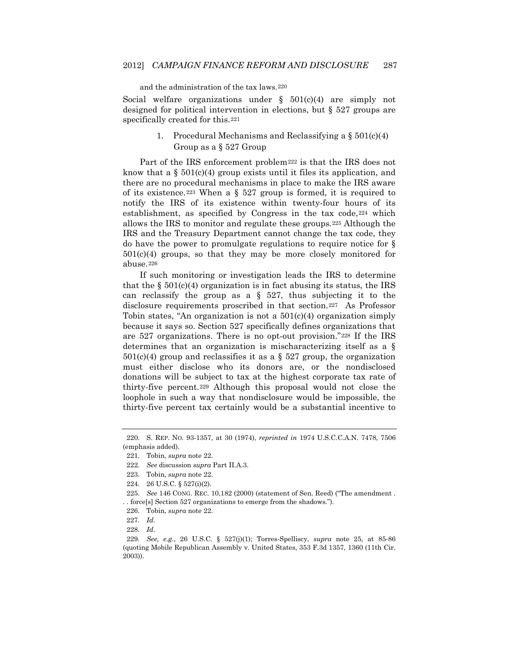#### and the administration of the tax laws.[220](#page-25-0)

Social welfare organizations under  $\S$  501(c)(4) are simply not designed for political intervention in elections, but § 527 groups are specifically created for this.[221](#page-26-0)

### 1. Procedural Mechanisms and Reclassifying a  $\S 501(c)(4)$ Group as a § 527 Group

Part of the IRS enforcement problem[222](#page-26-1) is that the IRS does not know that a  $\S 501(c)(4)$  group exists until it files its application, and there are no procedural mechanisms in place to make the IRS aware of its existence.<sup>[223](#page-26-2)</sup> When a  $\S$  527 group is formed, it is required to notify the IRS of its existence within twenty-four hours of its establishment, as specified by Congress in the tax code, [224](#page-26-3) which allows the IRS to monitor and regulate these groups.[225](#page-26-4) Although the IRS and the Treasury Department cannot change the tax code, they do have the power to promulgate regulations to require notice for § 501(c)(4) groups, so that they may be more closely monitored for abuse.[226](#page-26-5) 

If such monitoring or investigation leads the IRS to determine that the  $\S 501(c)(4)$  organization is in fact abusing its status, the IRS can reclassify the group as a  $\S$  527, thus subjecting it to the disclosure requirements proscribed in that section.[227](#page-26-6) As Professor Tobin states, "An organization is not a  $501(c)(4)$  organization simply because it says so. Section 527 specifically defines organizations that are 527 organizations. There is no opt-out provision."[228](#page-26-7) If the IRS determines that an organization is mischaracterizing itself as a §  $501(c)(4)$  group and reclassifies it as a § 527 group, the organization must either disclose who its donors are, or the nondisclosed donations will be subject to tax at the highest corporate tax rate of thirty-five percent.[229](#page-26-8) Although this proposal would not close the loophole in such a way that nondisclosure would be impossible, the thirty-five percent tax certainly would be a substantial incentive to

<span id="page-26-9"></span><span id="page-26-1"></span><span id="page-26-0"></span><sup>220.</sup> S. REP. NO. 93-1357, at 30 (1974), *reprinted in* 1974 U.S.C.C.A.N. 7478, 7506 (emphasis added).

<sup>221.</sup> Tobin, *supra* note 22.

<sup>222</sup>*. See* discussion *supra* Part II.A.3.

<sup>223.</sup> Tobin, *supra* note 22.

<sup>224.</sup> 26 U.S.C. § 527(i)(2).

<span id="page-26-5"></span><span id="page-26-4"></span><span id="page-26-3"></span><span id="page-26-2"></span><sup>225</sup>*. See* 146 CONG. REC. 10,182 (2000) (statement of Sen. Reed) ("The amendment . . . force[s] Section 527 organizations to emerge from the shadows.").

<sup>226.</sup> Tobin, *supra* note 22.

<sup>227</sup>*. Id*.

<sup>228</sup>*. Id*.

<span id="page-26-8"></span><span id="page-26-7"></span><span id="page-26-6"></span><sup>229</sup>*. See, e.g.*, 26 U.S.C. § 527(j)(1); Torres-Spelliscy, *supra* note 25, at 85-86 (quoting Mobile Republican Assembly v. United States, 353 F.3d 1357, 1360 (11th Cir. 2003)).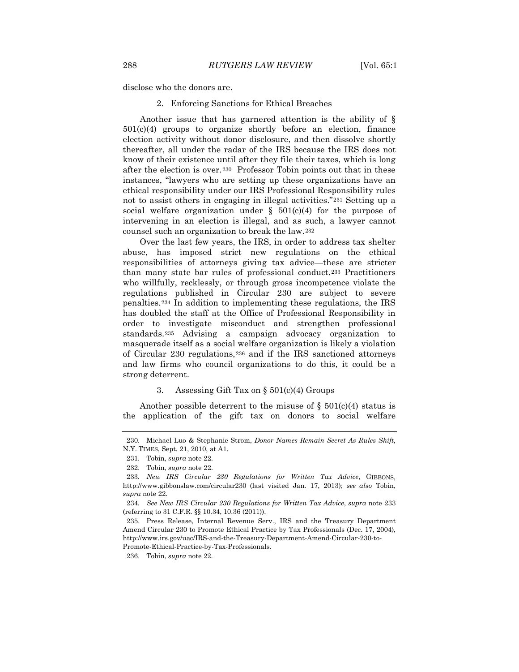disclose who the donors are.

2. Enforcing Sanctions for Ethical Breaches

Another issue that has garnered attention is the ability of § 501(c)(4) groups to organize shortly before an election, finance election activity without donor disclosure, and then dissolve shortly thereafter, all under the radar of the IRS because the IRS does not know of their existence until after they file their taxes, which is long after the election is over.[230](#page-26-9) Professor Tobin points out that in these instances, "lawyers who are setting up these organizations have an ethical responsibility under our IRS Professional Responsibility rules not to assist others in engaging in illegal activities."[231](#page-27-0) Setting up a social welfare organization under  $\S$  501(c)(4) for the purpose of intervening in an election is illegal, and as such, a lawyer cannot counsel such an organization to break the law.[232](#page-27-1)

<span id="page-27-6"></span>Over the last few years, the IRS, in order to address tax shelter abuse, has imposed strict new regulations on the ethical responsibilities of attorneys giving tax advice—these are stricter than many state bar rules of professional conduct.[233](#page-27-2) Practitioners who willfully, recklessly, or through gross incompetence violate the regulations published in Circular 230 are subject to severe penalties.[234](#page-27-3) In addition to implementing these regulations, the IRS has doubled the staff at the Office of Professional Responsibility in order to investigate misconduct and strengthen professional standards.[235](#page-27-4) Advising a campaign advocacy organization to masquerade itself as a social welfare organization is likely a violation of Circular 230 regulations,[236](#page-27-5) and if the IRS sanctioned attorneys and law firms who council organizations to do this, it could be a strong deterrent.

### 3. Assessing Gift Tax on § 501(c)(4) Groups

Another possible deterrent to the misuse of  $\S$  501(c)(4) status is the application of the gift tax on donors to social welfare

<span id="page-27-5"></span>Promote-Ethical-Practice-by-Tax-Professionals.

<span id="page-27-0"></span><sup>230.</sup> Michael Luo & Stephanie Strom, *Donor Names Remain Secret As Rules Shift,*  N.Y. TIMES, Sept. 21, 2010, at A1.

<sup>231.</sup> Tobin, *supra* note 22.

<sup>232.</sup> Tobin, *supra* note 22.

<span id="page-27-2"></span><span id="page-27-1"></span><sup>233</sup>*. New IRS Circular 230 Regulations for Written Tax Advice*, GIBBONS, http://www.gibbonslaw.com/circular230 (last visited Jan. 17, 2013); *see also* Tobin, *supra* note 22.

<span id="page-27-3"></span><sup>234</sup>*. See New IRS Circular 230 Regulations for Written Tax Advice*, *supra* note 233 (referring to 31 C.F.R. §§ 10.34, 10.36 (2011)).

<span id="page-27-4"></span><sup>235.</sup> Press Release, Internal Revenue Serv., IRS and the Treasury Department Amend Circular 230 to Promote Ethical Practice by Tax Professionals (Dec. 17, 2004), http://www.irs.gov/uac/IRS-and-the-Treasury-Department-Amend-Circular-230-to-

<sup>236.</sup> Tobin, *supra* note 22.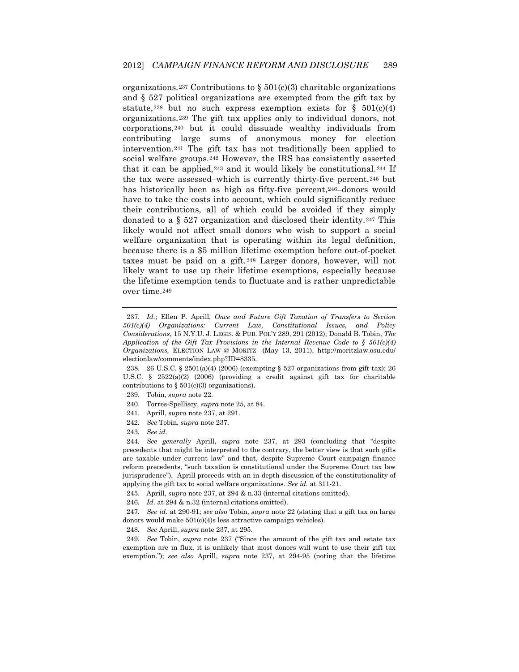organizations.<sup>[237](#page-27-6)</sup> Contributions to §  $501(c)(3)$  charitable organizations and § 527 political organizations are exempted from the gift tax by statute,<sup>[238](#page-28-0)</sup> but no such express exemption exists for  $\S$  501(c)(4) organizations.[239](#page-28-1) The gift tax applies only to individual donors, not corporations,[240](#page-28-2) but it could dissuade wealthy individuals from contributing large sums of anonymous money for election intervention.[241](#page-28-3) The gift tax has not traditionally been applied to social welfare groups.[242](#page-28-4) However, the IRS has consistently asserted that it can be applied,[243](#page-28-5) and it would likely be constitutional.[244](#page-28-6) If the tax were assessed–which is currently thirty-five percent,[245](#page-28-7) but has historically been as high as fifty-five percent, [246–](#page-28-8)donors would have to take the costs into account, which could significantly reduce their contributions, all of which could be avoided if they simply donated to a § 527 organization and disclosed their identity.[247](#page-28-9) This likely would not affect small donors who wish to support a social welfare organization that is operating within its legal definition, because there is a \$5 million lifetime exemption before out-of-pocket taxes must be paid on a gift.[248](#page-28-10) Larger donors, however, will not likely want to use up their lifetime exemptions, especially because the lifetime exemption tends to fluctuate and is rather unpredictable over time.[249](#page-28-11)

- <span id="page-28-2"></span>240. Torres-Spelliscy, *supra* note 25, at 84.
- 241. Aprill, *supra* note 237, at 291.
- 242*. See* Tobin, *supra* note 237.
- 243*. See id.*

<span id="page-28-12"></span><span id="page-28-6"></span><span id="page-28-5"></span><span id="page-28-4"></span><span id="page-28-3"></span>244*. See generally* Aprill, *supra* note 237, at 293 (concluding that "despite precedents that might be interpreted to the contrary, the better view is that such gifts are taxable under current law" and that, despite Supreme Court campaign finance reform precedents, "such taxation is constitutional under the Supreme Court tax law jurisprudence"). Aprill proceeds with an in-depth discussion of the constitutionality of applying the gift tax to social welfare organizations. *See id.* at 311-21.

245. Aprill, *supra* note 237, at 294 & n.33 (internal citations omitted).

246*. Id*. at 294 & n.32 (internal citations omitted).

<span id="page-28-9"></span><span id="page-28-8"></span><span id="page-28-7"></span>247*. See id*. at 290-91; *see also* Tobin, *supra* note 22 (stating that a gift tax on large donors would make 501(c)(4)s less attractive campaign vehicles).

248*. See* Aprill, *supra* note 237, at 295.

<span id="page-28-11"></span><span id="page-28-10"></span>249*. See* Tobin, *supra* note 237 ("Since the amount of the gift tax and estate tax exemption are in flux, it is unlikely that most donors will want to use their gift tax exemption."); *see also* Aprill, *supra* note 237, at 294-95 (noting that the lifetime

<sup>237.</sup> *Id.*; Ellen P. Aprill, *Once and Future Gift Taxation of Transfers to Section 501(c)(4) Organizations: Current Law, Constitutional Issues, and Policy Considerations*, 15 N.Y.U. J. LEGIS. & PUB. POL'Y 289, 291 (2012); Donald B. Tobin, *The Application of the Gift Tax Provisions in the Internal Revenue Code to § 501(c)(4) Organizations,* ELECTION LAW @ MORITZ (May 13, 2011), http://moritzlaw.osu.edu/ electionlaw/comments/index.php?ID=8335.

<span id="page-28-1"></span><span id="page-28-0"></span><sup>238.</sup> 26 U.S.C. § 2501(a)(4) (2006) (exempting § 527 organizations from gift tax); 26 U.S.C. § 2522(a)(2) (2006) (providing a credit against gift tax for charitable contributions to  $\S 501(c)(3)$  organizations).

<sup>239.</sup> Tobin, *supra* note 22.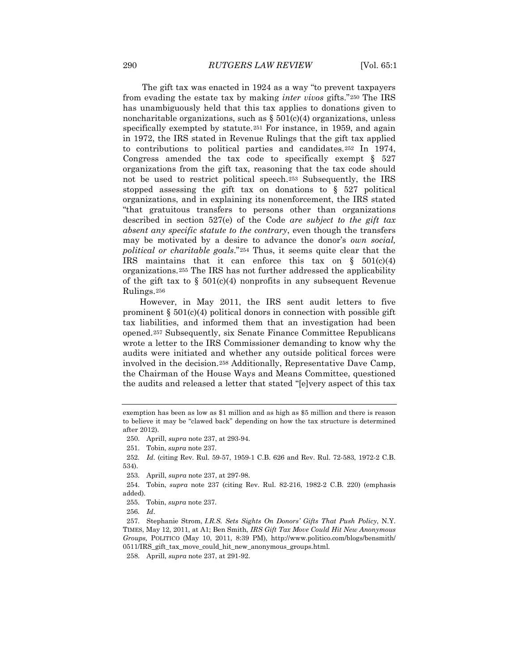The gift tax was enacted in 1924 as a way "to prevent taxpayers from evading the estate tax by making *inter vivos* gifts."[250](#page-28-12) The IRS has unambiguously held that this tax applies to donations given to noncharitable organizations, such as  $\S 501(c)(4)$  organizations, unless specifically exempted by statute.[251](#page-29-0) For instance, in 1959, and again in 1972, the IRS stated in Revenue Rulings that the gift tax applied to contributions to political parties and candidates.[252](#page-29-1) In 1974, Congress amended the tax code to specifically exempt  $\S$  527 organizations from the gift tax, reasoning that the tax code should not be used to restrict political speech.[253](#page-29-2) Subsequently, the IRS stopped assessing the gift tax on donations to § 527 political organizations, and in explaining its nonenforcement, the IRS stated "that gratuitous transfers to persons other than organizations described in section 527(e) of the Code *are subject to the gift tax absent any specific statute to the contrary*, even though the transfers may be motivated by a desire to advance the donor's *own social, political or charitable goals*."[254](#page-29-3) Thus, it seems quite clear that the IRS maintains that it can enforce this tax on  $\S$  501(c)(4) organizations.[255](#page-29-4) The IRS has not further addressed the applicability of the gift tax to  $\S$  501(c)(4) nonprofits in any subsequent Revenue Rulings.[256](#page-29-5)

However, in May 2011, the IRS sent audit letters to five prominent  $\S 501(c)(4)$  political donors in connection with possible gift tax liabilities, and informed them that an investigation had been opened.[257](#page-29-6) Subsequently, six Senate Finance Committee Republicans wrote a letter to the IRS Commissioner demanding to know why the audits were initiated and whether any outside political forces were involved in the decision.[258](#page-29-7) Additionally, Representative Dave Camp, the Chairman of the House Ways and Means Committee, questioned the audits and released a letter that stated "[e]very aspect of this tax

250. Aprill, *supra* note 237, at 293-94.

exemption has been as low as \$1 million and as high as \$5 million and there is reason to believe it may be "clawed back" depending on how the tax structure is determined after 2012).

<sup>251.</sup> Tobin, *supra* note 237.

<span id="page-29-8"></span><span id="page-29-1"></span><span id="page-29-0"></span><sup>252</sup>*. Id*. (citing Rev. Rul. 59-57, 1959-1 C.B. 626 and Rev. Rul. 72-583, 1972-2 C.B. 534).

<sup>253.</sup> Aprill, *supra* note 237, at 297-98.

<span id="page-29-4"></span><span id="page-29-3"></span><span id="page-29-2"></span><sup>254.</sup> Tobin, *supra* note 237 (citing Rev. Rul. 82-216, 1982-2 C.B. 220) (emphasis added).

<sup>255.</sup> Tobin, *supra* note 237.

<sup>256</sup>*. Id*.

<span id="page-29-6"></span><span id="page-29-5"></span><sup>257.</sup> Stephanie Strom, *I.R.S. Sets Sights On Donors' Gifts That Push Policy*, N.Y. TIMES, May 12, 2011, at A1; Ben Smith, *IRS Gift Tax Move Could Hit New Anonymous Groups,* POLITICO (May 10, 2011, 8:39 PM), http://www.politico.com/blogs/bensmith/ 0511/IRS\_gift\_tax\_move\_could\_hit\_new\_anonymous\_groups.html.

<span id="page-29-7"></span><sup>258.</sup> Aprill, *supra* note 237, at 291-92.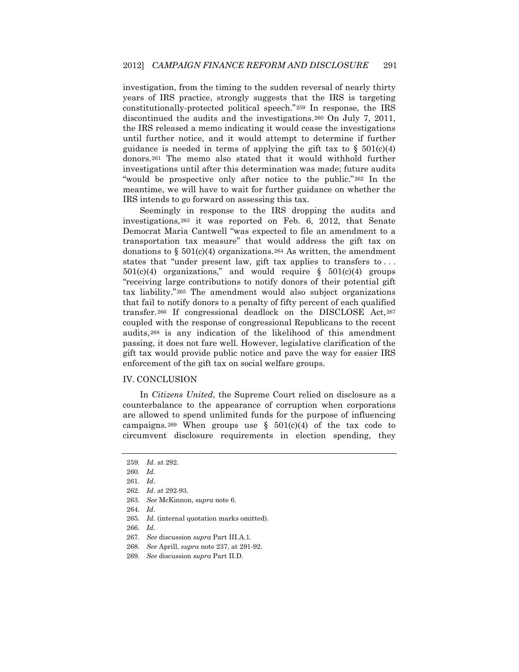investigation, from the timing to the sudden reversal of nearly thirty years of IRS practice, strongly suggests that the IRS is targeting constitutionally-protected political speech."[259](#page-29-8) In response, the IRS discontinued the audits and the investigations.[260](#page-30-0) On July 7, 2011, the IRS released a memo indicating it would cease the investigations until further notice, and it would attempt to determine if further guidance is needed in terms of applying the gift tax to  $\S$  501(c)(4) donors.[261](#page-30-1) The memo also stated that it would withhold further investigations until after this determination was made; future audits "would be prospective only after notice to the public."[262](#page-30-2) In the meantime, we will have to wait for further guidance on whether the IRS intends to go forward on assessing this tax.

Seemingly in response to the IRS dropping the audits and investigations,[263](#page-30-3) it was reported on Feb. 6, 2012, that Senate Democrat Maria Cantwell "was expected to file an amendment to a transportation tax measure" that would address the gift tax on donations to  $\S 501(c)(4)$  organizations. [264](#page-30-4) As written, the amendment states that "under present law, gift tax applies to transfers to...  $501(c)(4)$  organizations," and would require §  $501(c)(4)$  groups "receiving large contributions to notify donors of their potential gift tax liability."[265](#page-30-5) The amendment would also subject organizations that fail to notify donors to a penalty of fifty percent of each qualified transfer.[266](#page-30-6) If congressional deadlock on the DISCLOSE Act,[267](#page-30-7) coupled with the response of congressional Republicans to the recent audits,[268](#page-30-8) is any indication of the likelihood of this amendment passing, it does not fare well. However, legislative clarification of the gift tax would provide public notice and pave the way for easier IRS enforcement of the gift tax on social welfare groups.

### IV. CONCLUSION

In *Citizens United*, the Supreme Court relied on disclosure as a counterbalance to the appearance of corruption when corporations are allowed to spend unlimited funds for the purpose of influencing campaigns.<sup>[269](#page-30-9)</sup> When groups use §  $501(c)(4)$  of the tax code to circumvent disclosure requirements in election spending, they

<sup>259</sup>*. Id*. at 292.

<span id="page-30-1"></span><span id="page-30-0"></span><sup>260</sup>*. Id*.

<sup>261</sup>*. Id*.

<span id="page-30-2"></span><sup>262</sup>*. Id*. at 292-93.

<span id="page-30-4"></span><span id="page-30-3"></span><sup>263</sup>*. See* McKinnon, *supra* note 6.

<sup>264</sup>*. Id*.

<sup>265</sup>*. Id*. (internal quotation marks omitted).

<span id="page-30-7"></span><span id="page-30-6"></span><span id="page-30-5"></span><sup>266</sup>*. Id*.

<sup>267</sup>*. See* discussion *supra* Part III.A.1.

<span id="page-30-8"></span><sup>268</sup>*. See* Aprill, *supra* note 237, at 291-92.

<span id="page-30-9"></span><sup>269</sup>*. See* discussion *supra* Part II.D.